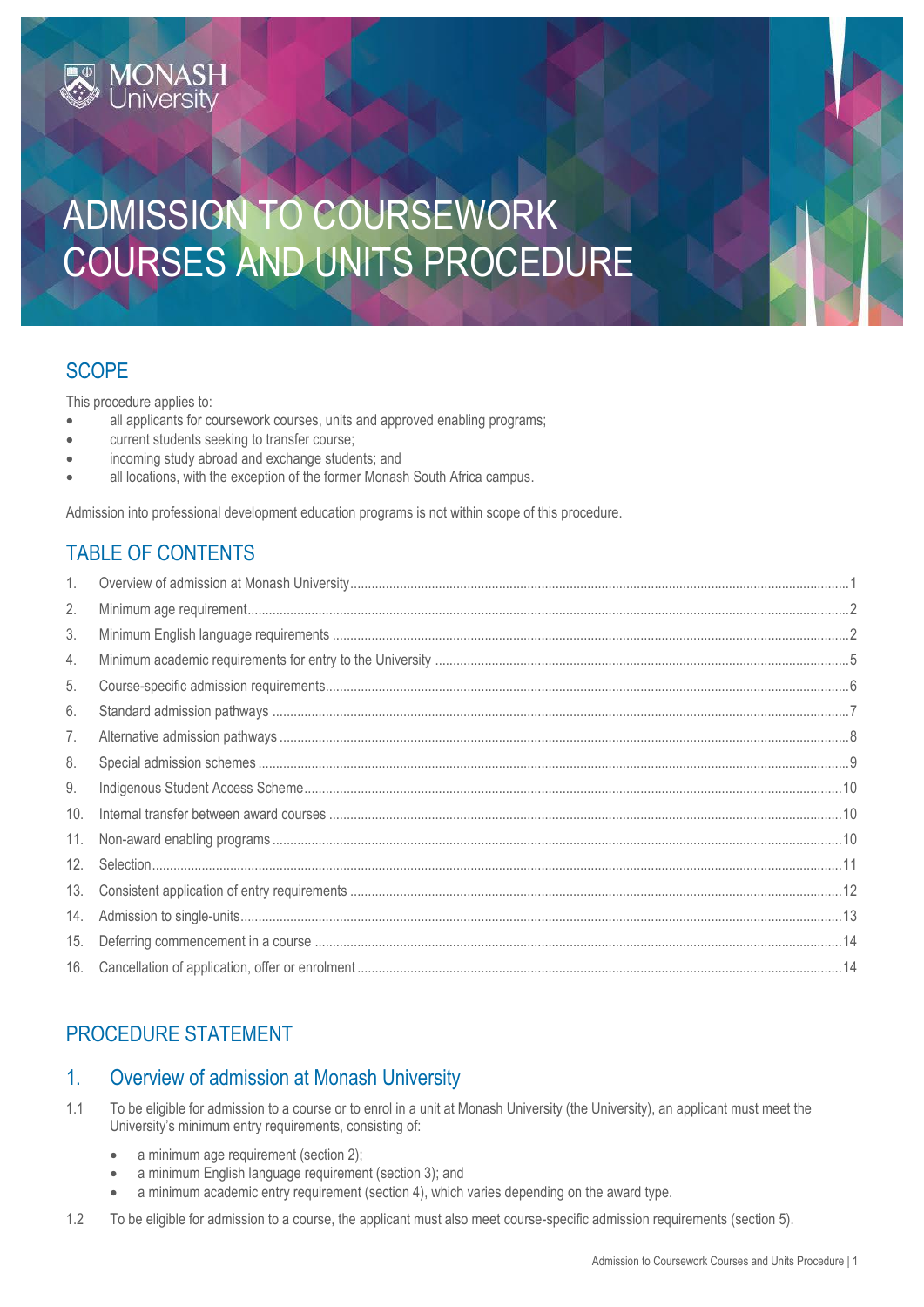# ADMISSION TO COURSEWORK COURSES AND UNITS PROCEDURE

# **SCOPE**

This procedure applies to:

**MONASH**<br>University

- all applicants for coursework courses, units and approved enabling programs;
- current students seeking to transfer course;
- incoming study abroad and exchange students; and
- all locations, with the exception of the former Monash South Africa campus.

Admission into professional development education programs is not within scope of this procedure.

# TABLE OF CONTENTS

| 1.  |  |
|-----|--|
| 2.  |  |
| 3.  |  |
| 4.  |  |
| 5.  |  |
| 6.  |  |
| 7.  |  |
| 8.  |  |
| 9.  |  |
| 10. |  |
| 11. |  |
| 12. |  |
| 13. |  |
| 14. |  |
| 15. |  |
| 16. |  |

# PROCEDURE STATEMENT

# <span id="page-0-0"></span>1. Overview of admission at Monash University

- 1.1 To be eligible for admission to a course or to enrol in a unit at Monash University (the University), an applicant must meet the University's minimum entry requirements, consisting of:
	- a minimum age requirement (section 2);
	- a minimum English language requirement (section 3); and
	- a minimum academic entry requirement (section 4), which varies depending on the award type.
- 1.2 To be eligible for admission to a course, the applicant must also meet course-specific admission requirements (section 5).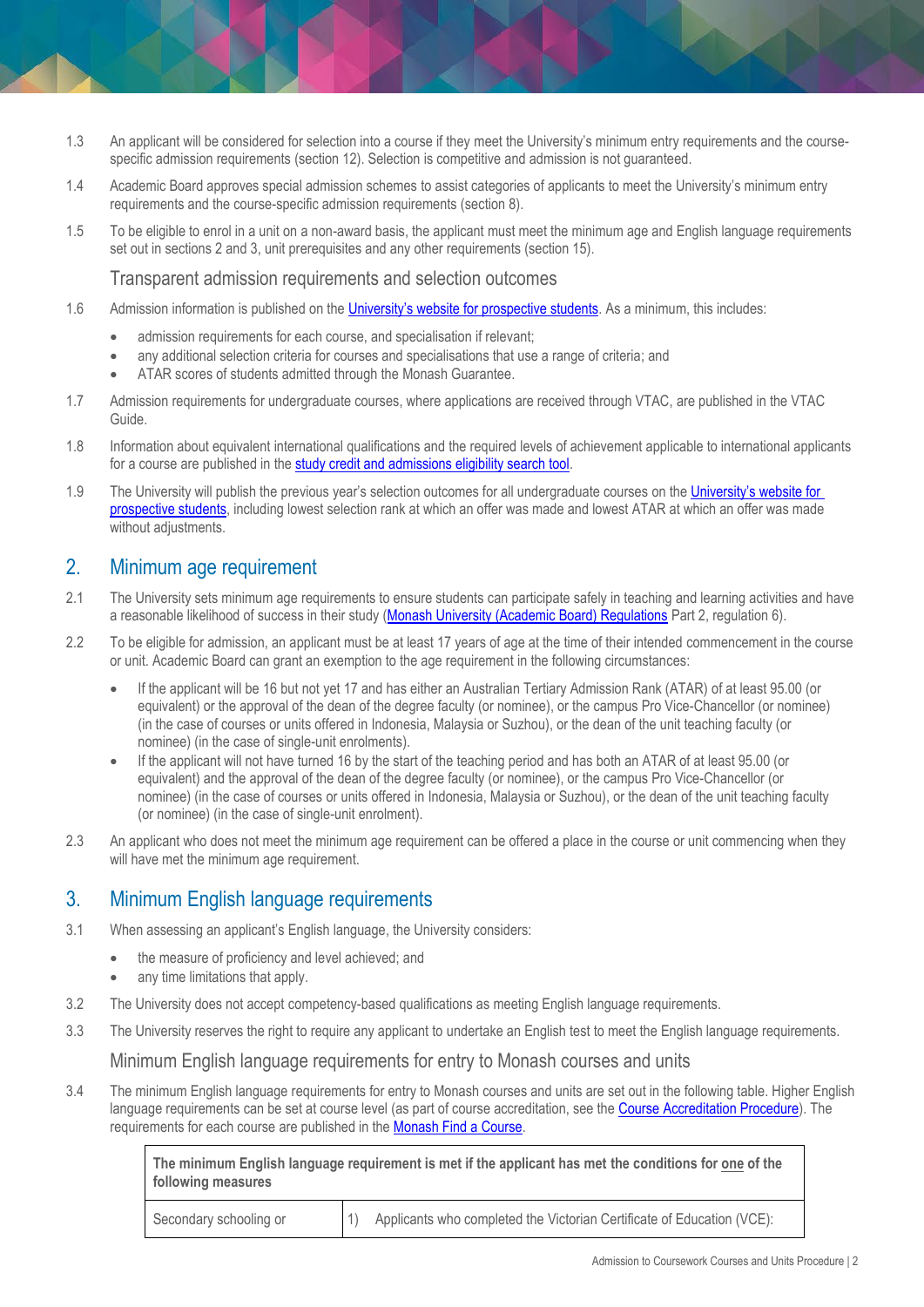- 1.3 An applicant will be considered for selection into a course if they meet the University's minimum entry requirements and the coursespecific admission requirements (section 12). Selection is competitive and admission is not guaranteed.
- 1.4 Academic Board approves special admission schemes to assist categories of applicants to meet the University's minimum entry requirements and the course-specific admission requirements (section 8).
- 1.5 To be eligible to enrol in a unit on a non-award basis, the applicant must meet the minimum age and English language requirements set out in sections 2 and 3, unit prerequisites and any other requirements (section 15).

Transparent admission requirements and selection outcomes

- 1.6 Admission information is published on the [University's website for prospective students](https://www.study.monash/courses/find-a-course). As a minimum, this includes:
	- admission requirements for each course, and specialisation if relevant;
	- any additional selection criteria for courses and specialisations that use a range of criteria; and
	- ATAR scores of students admitted through the Monash Guarantee.
- 1.7 Admission requirements for undergraduate courses, where applications are received through VTAC, are published in the VTAC Guide.
- 1.8 Information about equivalent international qualifications and the required levels of achievement applicable to international applicants for a course are published in th[e study credit and admissions eligibility search tool.](https://www.study.monash/how-to-apply/credit-for-prior-study)
- 1.9 The University will publish the previous year's selection outcomes for all undergraduate courses on the [University's website for](https://www.study.monash/courses/find-a-course)  [prospective students,](https://www.study.monash/courses/find-a-course) including lowest selection rank at which an offer was made and lowest ATAR at which an offer was made without adjustments.

## <span id="page-1-0"></span>2. Minimum age requirement

- 2.1 The University sets minimum age requirements to ensure students can participate safely in teaching and learning activities and have a reasonable likelihood of success in their study [\(Monash University \(Academic Board\) Regulations](http://www.monash.edu/legal/legislation/current-statute-regulations-and-related-resolutions) Part 2, regulation 6).
- 2.2 To be eligible for admission, an applicant must be at least 17 years of age at the time of their intended commencement in the course or unit. Academic Board can grant an exemption to the age requirement in the following circumstances:
	- If the applicant will be 16 but not yet 17 and has either an Australian Tertiary Admission Rank (ATAR) of at least 95.00 (or equivalent) or the approval of the dean of the degree faculty (or nominee), or the campus Pro Vice-Chancellor (or nominee) (in the case of courses or units offered in Indonesia, Malaysia or Suzhou), or the dean of the unit teaching faculty (or nominee) (in the case of single-unit enrolments).
	- If the applicant will not have turned 16 by the start of the teaching period and has both an ATAR of at least 95.00 (or equivalent) and the approval of the dean of the degree faculty (or nominee), or the campus Pro Vice-Chancellor (or nominee) (in the case of courses or units offered in Indonesia, Malaysia or Suzhou), or the dean of the unit teaching faculty (or nominee) (in the case of single-unit enrolment).
- 2.3 An applicant who does not meet the minimum age requirement can be offered a place in the course or unit commencing when they will have met the minimum age requirement.

## <span id="page-1-1"></span>3. Minimum English language requirements

- 3.1 When assessing an applicant's English language, the University considers:
	- the measure of proficiency and level achieved; and
	- any time limitations that apply.
- 3.2 The University does not accept competency-based qualifications as meeting English language requirements.
- 3.3 The University reserves the right to require any applicant to undertake an English test to meet the English language requirements.

#### Minimum English language requirements for entry to Monash courses and units

3.4 The minimum English language requirements for entry to Monash courses and units are set out in the following table. Higher English language requirements can be set at course level (as part of course accreditation, see th[e Course Accreditation Procedure\)](https://publicpolicydms.monash.edu/Monash/documents/1935764). The requirements for each course are published in th[e Monash Find a Course.](https://www.monash.edu/study/courses/find-a-course)

> **The minimum English language requirement is met if the applicant has met the conditions for one of the following measures**

| Secondary schooling or | 1) Applicants who completed the Victorian Certificate of Education (VCE): |
|------------------------|---------------------------------------------------------------------------|
|                        |                                                                           |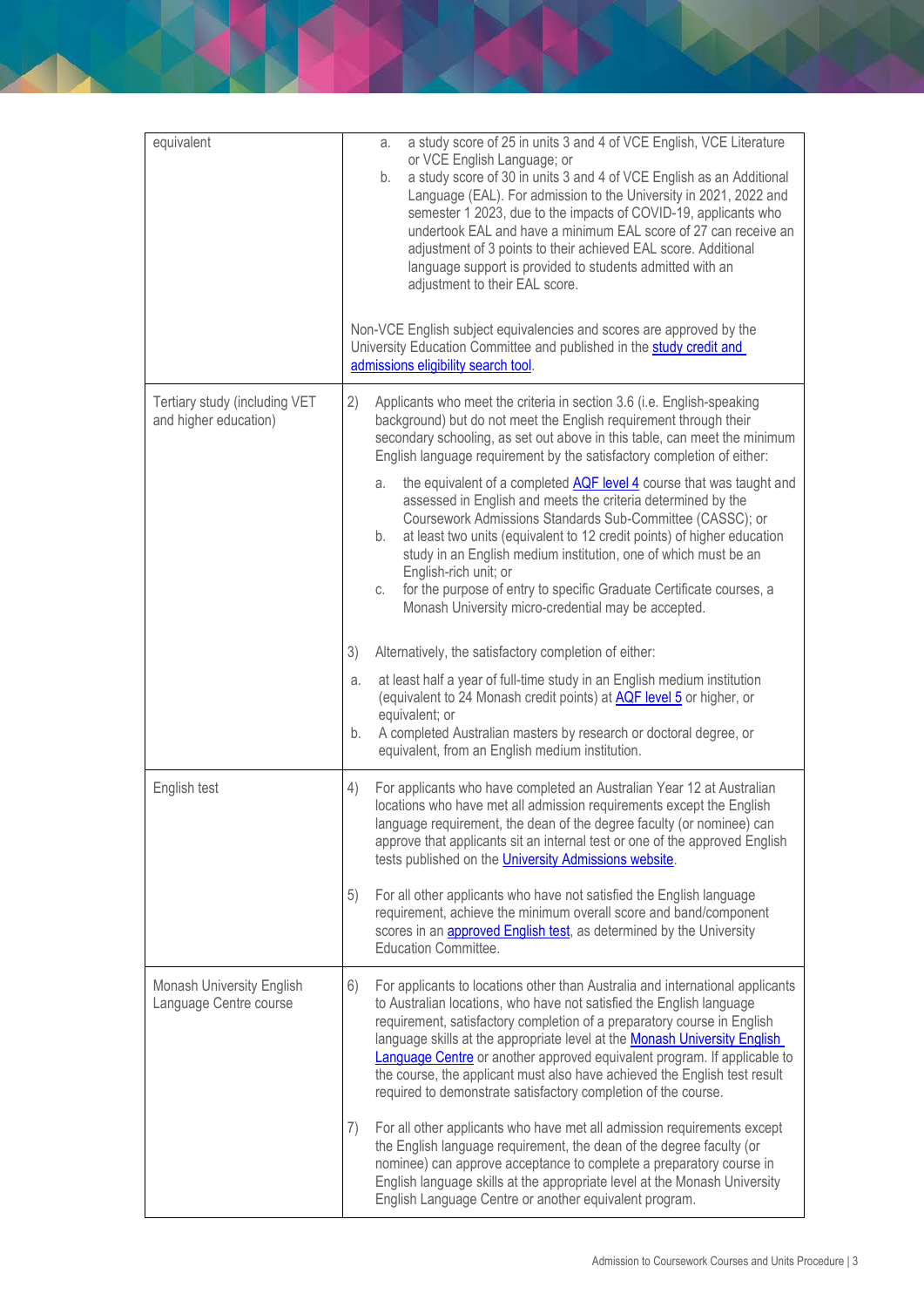| equivalent                                                 | a study score of 25 in units 3 and 4 of VCE English, VCE Literature<br>a.<br>or VCE English Language; or<br>a study score of 30 in units 3 and 4 of VCE English as an Additional<br>b.<br>Language (EAL). For admission to the University in 2021, 2022 and<br>semester 1 2023, due to the impacts of COVID-19, applicants who<br>undertook EAL and have a minimum EAL score of 27 can receive an<br>adjustment of 3 points to their achieved EAL score. Additional<br>language support is provided to students admitted with an<br>adjustment to their EAL score.<br>Non-VCE English subject equivalencies and scores are approved by the<br>University Education Committee and published in the study credit and |
|------------------------------------------------------------|--------------------------------------------------------------------------------------------------------------------------------------------------------------------------------------------------------------------------------------------------------------------------------------------------------------------------------------------------------------------------------------------------------------------------------------------------------------------------------------------------------------------------------------------------------------------------------------------------------------------------------------------------------------------------------------------------------------------|
|                                                            | admissions eligibility search tool.                                                                                                                                                                                                                                                                                                                                                                                                                                                                                                                                                                                                                                                                                |
| Tertiary study (including VET<br>and higher education)     | 2)<br>Applicants who meet the criteria in section 3.6 (i.e. English-speaking<br>background) but do not meet the English requirement through their<br>secondary schooling, as set out above in this table, can meet the minimum<br>English language requirement by the satisfactory completion of either:<br>the equivalent of a completed AQF level 4 course that was taught and<br>a.<br>assessed in English and meets the criteria determined by the<br>Coursework Admissions Standards Sub-Committee (CASSC); or                                                                                                                                                                                                |
|                                                            | at least two units (equivalent to 12 credit points) of higher education<br>b.<br>study in an English medium institution, one of which must be an<br>English-rich unit; or<br>for the purpose of entry to specific Graduate Certificate courses, a<br>С.<br>Monash University micro-credential may be accepted.                                                                                                                                                                                                                                                                                                                                                                                                     |
|                                                            | 3)<br>Alternatively, the satisfactory completion of either:                                                                                                                                                                                                                                                                                                                                                                                                                                                                                                                                                                                                                                                        |
|                                                            | at least half a year of full-time study in an English medium institution<br>a.<br>(equivalent to 24 Monash credit points) at <b>AQF level 5</b> or higher, or<br>equivalent; or<br>A completed Australian masters by research or doctoral degree, or<br>b.<br>equivalent, from an English medium institution.                                                                                                                                                                                                                                                                                                                                                                                                      |
| English test                                               | For applicants who have completed an Australian Year 12 at Australian<br>4)<br>locations who have met all admission requirements except the English<br>language requirement, the dean of the degree faculty (or nominee) can<br>approve that applicants sit an internal test or one of the approved English<br>tests published on the <i>University Admissions website</i> .                                                                                                                                                                                                                                                                                                                                       |
|                                                            | For all other applicants who have not satisfied the English language<br>5)<br>requirement, achieve the minimum overall score and band/component<br>scores in an <b>approved English test</b> , as determined by the University<br><b>Education Committee.</b>                                                                                                                                                                                                                                                                                                                                                                                                                                                      |
| <b>Monash University English</b><br>Language Centre course | For applicants to locations other than Australia and international applicants<br>6)<br>to Australian locations, who have not satisfied the English language<br>requirement, satisfactory completion of a preparatory course in English<br>language skills at the appropriate level at the Monash University English<br><b>Language Centre</b> or another approved equivalent program. If applicable to<br>the course, the applicant must also have achieved the English test result<br>required to demonstrate satisfactory completion of the course.                                                                                                                                                              |
|                                                            | For all other applicants who have met all admission requirements except<br>7)<br>the English language requirement, the dean of the degree faculty (or<br>nominee) can approve acceptance to complete a preparatory course in<br>English language skills at the appropriate level at the Monash University<br>English Language Centre or another equivalent program.                                                                                                                                                                                                                                                                                                                                                |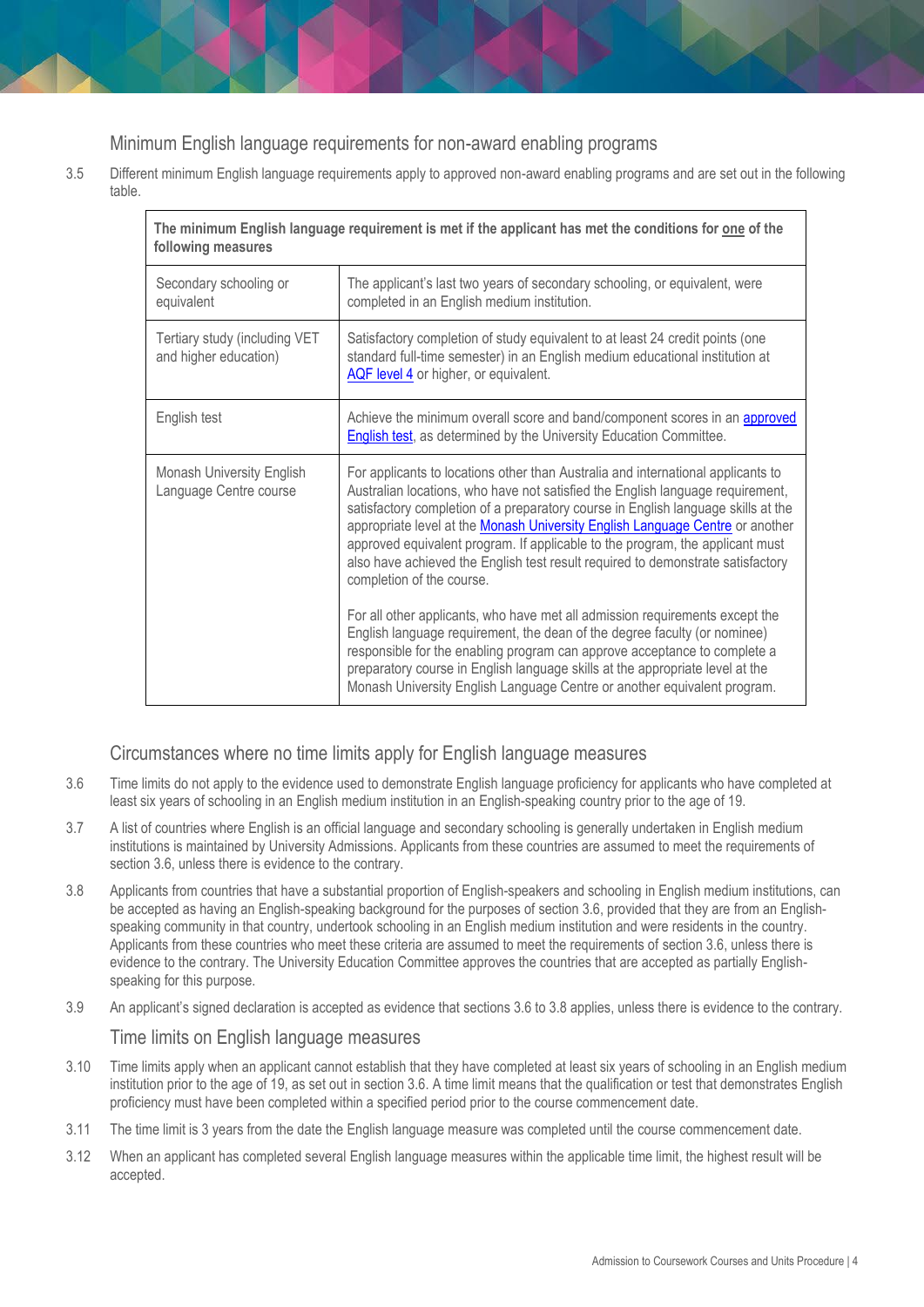# Minimum English language requirements for non-award enabling programs

3.5 Different minimum English language requirements apply to approved non-award enabling programs and are set out in the following table.

| The minimum English language requirement is met if the applicant has met the conditions for <u>one</u> of the<br>following measures |                                                                                                                                                                                                                                                                                                                                                                                                                                                                                                                                                                                                                                                                                                                                                                                                                                                                                                                                                  |  |
|-------------------------------------------------------------------------------------------------------------------------------------|--------------------------------------------------------------------------------------------------------------------------------------------------------------------------------------------------------------------------------------------------------------------------------------------------------------------------------------------------------------------------------------------------------------------------------------------------------------------------------------------------------------------------------------------------------------------------------------------------------------------------------------------------------------------------------------------------------------------------------------------------------------------------------------------------------------------------------------------------------------------------------------------------------------------------------------------------|--|
| Secondary schooling or<br>equivalent                                                                                                | The applicant's last two years of secondary schooling, or equivalent, were<br>completed in an English medium institution.                                                                                                                                                                                                                                                                                                                                                                                                                                                                                                                                                                                                                                                                                                                                                                                                                        |  |
| Tertiary study (including VET<br>and higher education)                                                                              | Satisfactory completion of study equivalent to at least 24 credit points (one<br>standard full-time semester) in an English medium educational institution at<br>AQF level 4 or higher, or equivalent.                                                                                                                                                                                                                                                                                                                                                                                                                                                                                                                                                                                                                                                                                                                                           |  |
| English test                                                                                                                        | Achieve the minimum overall score and band/component scores in an approved<br>English test, as determined by the University Education Committee.                                                                                                                                                                                                                                                                                                                                                                                                                                                                                                                                                                                                                                                                                                                                                                                                 |  |
| <b>Monash University English</b><br>Language Centre course                                                                          | For applicants to locations other than Australia and international applicants to<br>Australian locations, who have not satisfied the English language requirement,<br>satisfactory completion of a preparatory course in English language skills at the<br>appropriate level at the Monash University English Language Centre or another<br>approved equivalent program. If applicable to the program, the applicant must<br>also have achieved the English test result required to demonstrate satisfactory<br>completion of the course.<br>For all other applicants, who have met all admission requirements except the<br>English language requirement, the dean of the degree faculty (or nominee)<br>responsible for the enabling program can approve acceptance to complete a<br>preparatory course in English language skills at the appropriate level at the<br>Monash University English Language Centre or another equivalent program. |  |

## Circumstances where no time limits apply for English language measures

- 3.6 Time limits do not apply to the evidence used to demonstrate English language proficiency for applicants who have completed at least six years of schooling in an English medium institution in an English-speaking country prior to the age of 19.
- 3.7 A list of countries where English is an official language and secondary schooling is generally undertaken in English medium institutions is maintained by University Admissions. Applicants from these countries are assumed to meet the requirements of section 3.6, unless there is evidence to the contrary.
- 3.8 Applicants from countries that have a substantial proportion of English-speakers and schooling in English medium institutions, can be accepted as having an English-speaking background for the purposes of section 3.6, provided that they are from an Englishspeaking community in that country, undertook schooling in an English medium institution and were residents in the country. Applicants from these countries who meet these criteria are assumed to meet the requirements of section 3.6, unless there is evidence to the contrary. The University Education Committee approves the countries that are accepted as partially Englishspeaking for this purpose.
- 3.9 An applicant's signed declaration is accepted as evidence that sections 3.6 to 3.8 applies, unless there is evidence to the contrary. Time limits on English language measures
- 3.10 Time limits apply when an applicant cannot establish that they have completed at least six years of schooling in an English medium institution prior to the age of 19, as set out in section 3.6. A time limit means that the qualification or test that demonstrates English proficiency must have been completed within a specified period prior to the course commencement date.
- 3.11 The time limit is 3 years from the date the English language measure was completed until the course commencement date.
- 3.12 When an applicant has completed several English language measures within the applicable time limit, the highest result will be accepted.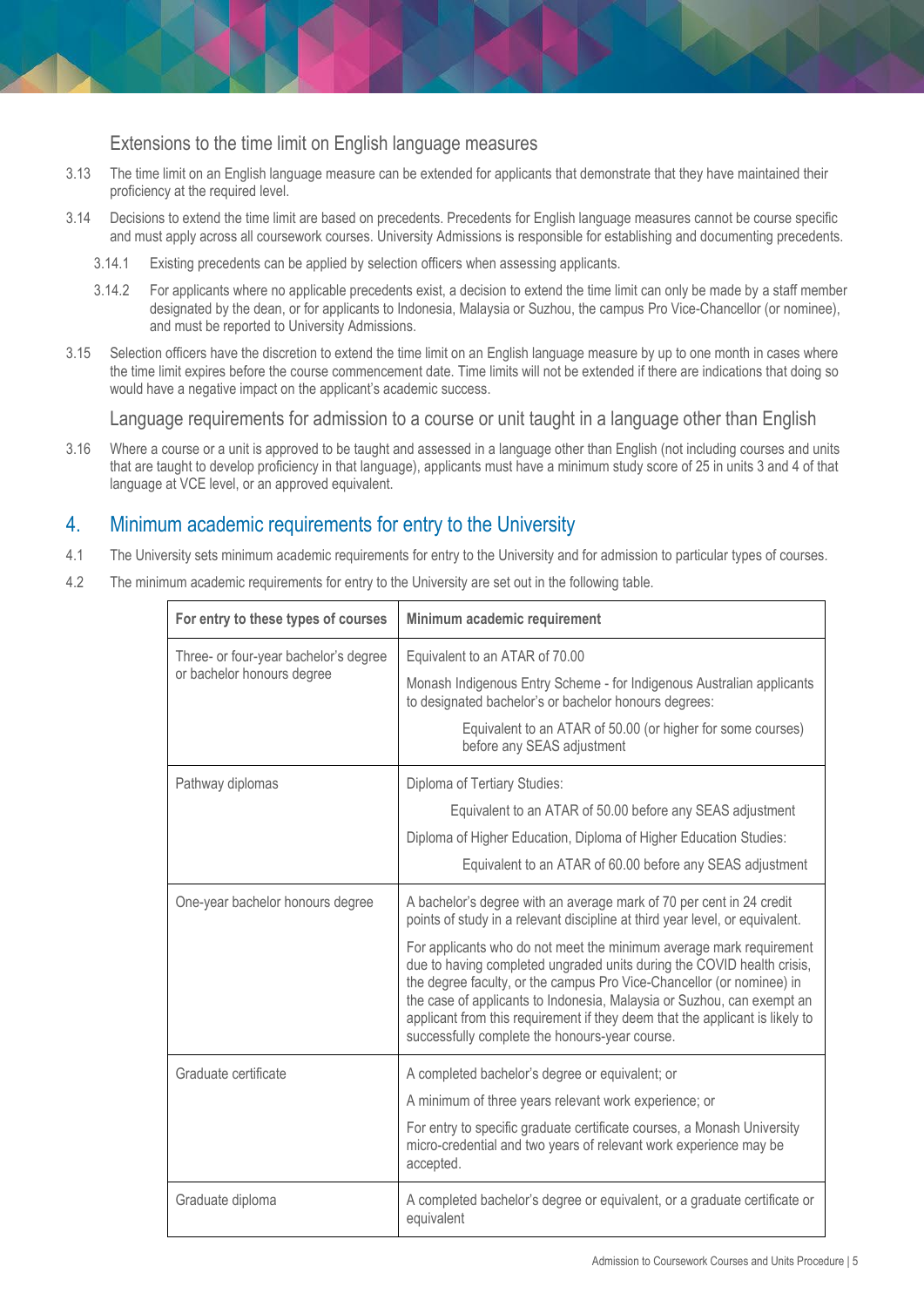Extensions to the time limit on English language measures

- 3.13 The time limit on an English language measure can be extended for applicants that demonstrate that they have maintained their proficiency at the required level.
- 3.14 Decisions to extend the time limit are based on precedents. Precedents for English language measures cannot be course specific and must apply across all coursework courses. University Admissions is responsible for establishing and documenting precedents.
	- 3.14.1 Existing precedents can be applied by selection officers when assessing applicants.
	- 3.14.2 For applicants where no applicable precedents exist, a decision to extend the time limit can only be made by a staff member designated by the dean, or for applicants to Indonesia, Malaysia or Suzhou, the campus Pro Vice-Chancellor (or nominee), and must be reported to University Admissions.
- 3.15 Selection officers have the discretion to extend the time limit on an English language measure by up to one month in cases where the time limit expires before the course commencement date. Time limits will not be extended if there are indications that doing so would have a negative impact on the applicant's academic success.

Language requirements for admission to a course or unit taught in a language other than English

3.16 Where a course or a unit is approved to be taught and assessed in a language other than English (not including courses and units that are taught to develop proficiency in that language), applicants must have a minimum study score of 25 in units 3 and 4 of that language at VCE level, or an approved equivalent.

# <span id="page-4-0"></span>4. Minimum academic requirements for entry to the University

- 4.1 The University sets minimum academic requirements for entry to the University and for admission to particular types of courses.
- 4.2 The minimum academic requirements for entry to the University are set out in the following table.

| For entry to these types of courses   | Minimum academic requirement                                                                                                                                                                                                                                                                                                                                                                                                       |
|---------------------------------------|------------------------------------------------------------------------------------------------------------------------------------------------------------------------------------------------------------------------------------------------------------------------------------------------------------------------------------------------------------------------------------------------------------------------------------|
| Three- or four-year bachelor's degree | Equivalent to an ATAR of 70.00                                                                                                                                                                                                                                                                                                                                                                                                     |
| or bachelor honours degree            | Monash Indigenous Entry Scheme - for Indigenous Australian applicants<br>to designated bachelor's or bachelor honours degrees:                                                                                                                                                                                                                                                                                                     |
|                                       | Equivalent to an ATAR of 50.00 (or higher for some courses)<br>before any SEAS adjustment                                                                                                                                                                                                                                                                                                                                          |
| Pathway diplomas                      | Diploma of Tertiary Studies:                                                                                                                                                                                                                                                                                                                                                                                                       |
|                                       | Equivalent to an ATAR of 50.00 before any SEAS adjustment                                                                                                                                                                                                                                                                                                                                                                          |
|                                       | Diploma of Higher Education, Diploma of Higher Education Studies:                                                                                                                                                                                                                                                                                                                                                                  |
|                                       | Equivalent to an ATAR of 60.00 before any SEAS adjustment                                                                                                                                                                                                                                                                                                                                                                          |
| One-year bachelor honours degree      | A bachelor's degree with an average mark of 70 per cent in 24 credit<br>points of study in a relevant discipline at third year level, or equivalent.                                                                                                                                                                                                                                                                               |
|                                       | For applicants who do not meet the minimum average mark requirement<br>due to having completed ungraded units during the COVID health crisis,<br>the degree faculty, or the campus Pro Vice-Chancellor (or nominee) in<br>the case of applicants to Indonesia, Malaysia or Suzhou, can exempt an<br>applicant from this requirement if they deem that the applicant is likely to<br>successfully complete the honours-year course. |
| Graduate certificate                  | A completed bachelor's degree or equivalent; or                                                                                                                                                                                                                                                                                                                                                                                    |
|                                       | A minimum of three years relevant work experience; or                                                                                                                                                                                                                                                                                                                                                                              |
|                                       | For entry to specific graduate certificate courses, a Monash University<br>micro-credential and two years of relevant work experience may be<br>accepted.                                                                                                                                                                                                                                                                          |
| Graduate diploma                      | A completed bachelor's degree or equivalent, or a graduate certificate or<br>equivalent                                                                                                                                                                                                                                                                                                                                            |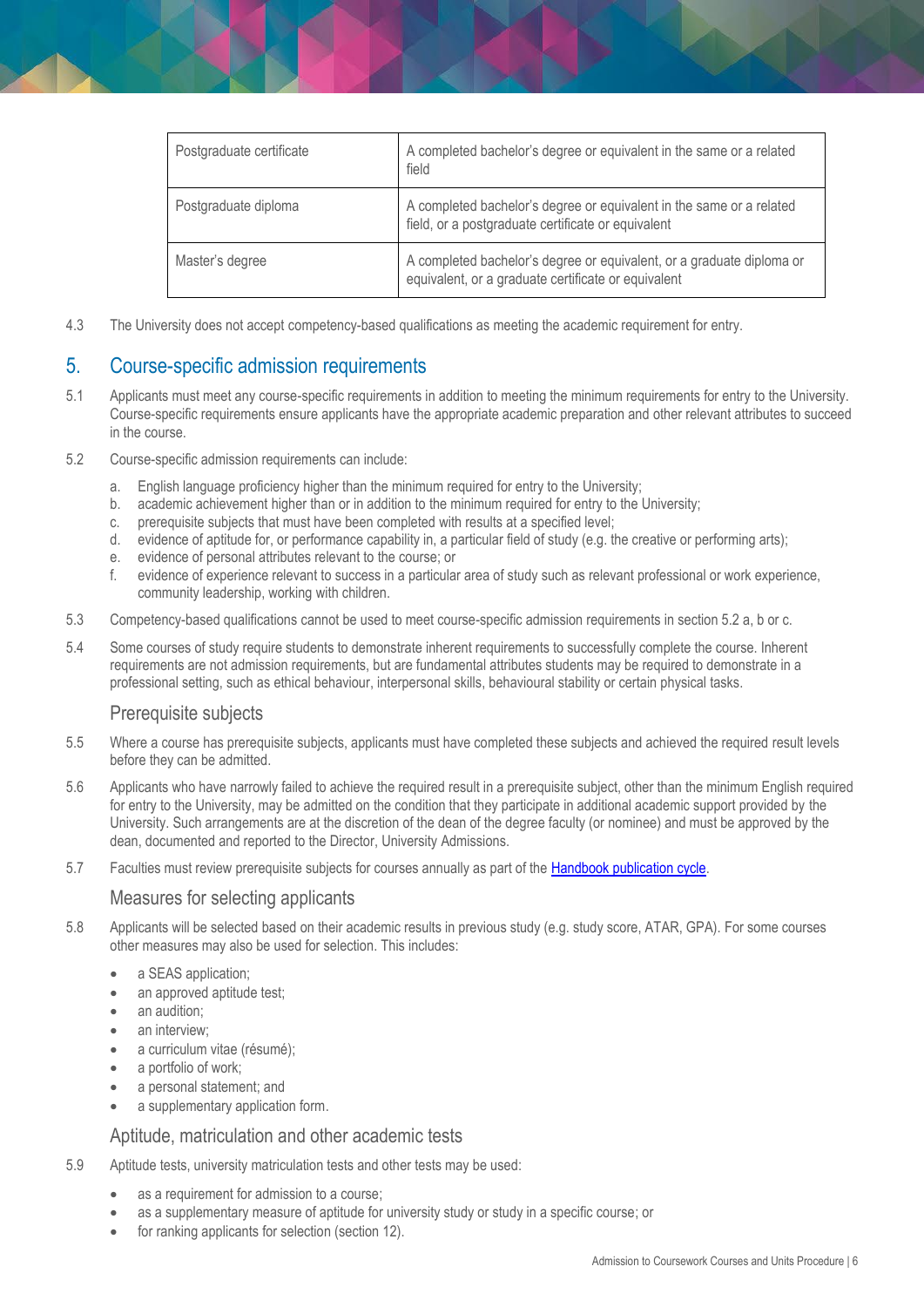| Postgraduate certificate | A completed bachelor's degree or equivalent in the same or a related<br>field                                                |
|--------------------------|------------------------------------------------------------------------------------------------------------------------------|
| Postgraduate diploma     | A completed bachelor's degree or equivalent in the same or a related<br>field, or a postgraduate certificate or equivalent   |
| Master's degree          | A completed bachelor's degree or equivalent, or a graduate diploma or<br>equivalent, or a graduate certificate or equivalent |

4.3 The University does not accept competency-based qualifications as meeting the academic requirement for entry.

# <span id="page-5-0"></span>5. Course-specific admission requirements

- 5.1 Applicants must meet any course-specific requirements in addition to meeting the minimum requirements for entry to the University. Course-specific requirements ensure applicants have the appropriate academic preparation and other relevant attributes to succeed in the course.
- 5.2 Course-specific admission requirements can include:
	- a. English language proficiency higher than the minimum required for entry to the University;
	- b. academic achievement higher than or in addition to the minimum required for entry to the University;
	- c. prerequisite subjects that must have been completed with results at a specified level;
	- d. evidence of aptitude for, or performance capability in, a particular field of study (e.g. the creative or performing arts);
	- e. evidence of personal attributes relevant to the course; or
	- f. evidence of experience relevant to success in a particular area of study such as relevant professional or work experience, community leadership, working with children.
- 5.3 Competency-based qualifications cannot be used to meet course-specific admission requirements in section 5.2 a, b or c.
- 5.4 Some courses of study require students to demonstrate inherent requirements to successfully complete the course. Inherent requirements are not admission requirements, but are fundamental attributes students may be required to demonstrate in a professional setting, such as ethical behaviour, interpersonal skills, behavioural stability or certain physical tasks.

#### Prerequisite subjects

- 5.5 Where a course has prerequisite subjects, applicants must have completed these subjects and achieved the required result levels before they can be admitted.
- 5.6 Applicants who have narrowly failed to achieve the required result in a prerequisite subject, other than the minimum English required for entry to the University, may be admitted on the condition that they participate in additional academic support provided by the University. Such arrangements are at the discretion of the dean of the degree faculty (or nominee) and must be approved by the dean, documented and reported to the Director, University Admissions.
- 5.7 Faculties must review prerequisite subjects for courses annually as part of the **Handbook publication cycle.**

#### Measures for selecting applicants

- 5.8 Applicants will be selected based on their academic results in previous study (e.g. study score, ATAR, GPA). For some courses other measures may also be used for selection. This includes:
	- a SEAS application;
	- an approved aptitude test;
	- an audition;
	- an interview;
	- a curriculum vitae (résumé);
	- a portfolio of work;
	- a personal statement; and
	- a supplementary application form.

#### Aptitude, matriculation and other academic tests

- 5.9 Aptitude tests, university matriculation tests and other tests may be used:
	- as a requirement for admission to a course;
	- as a supplementary measure of aptitude for university study or study in a specific course; or
	- for ranking applicants for selection (section 12).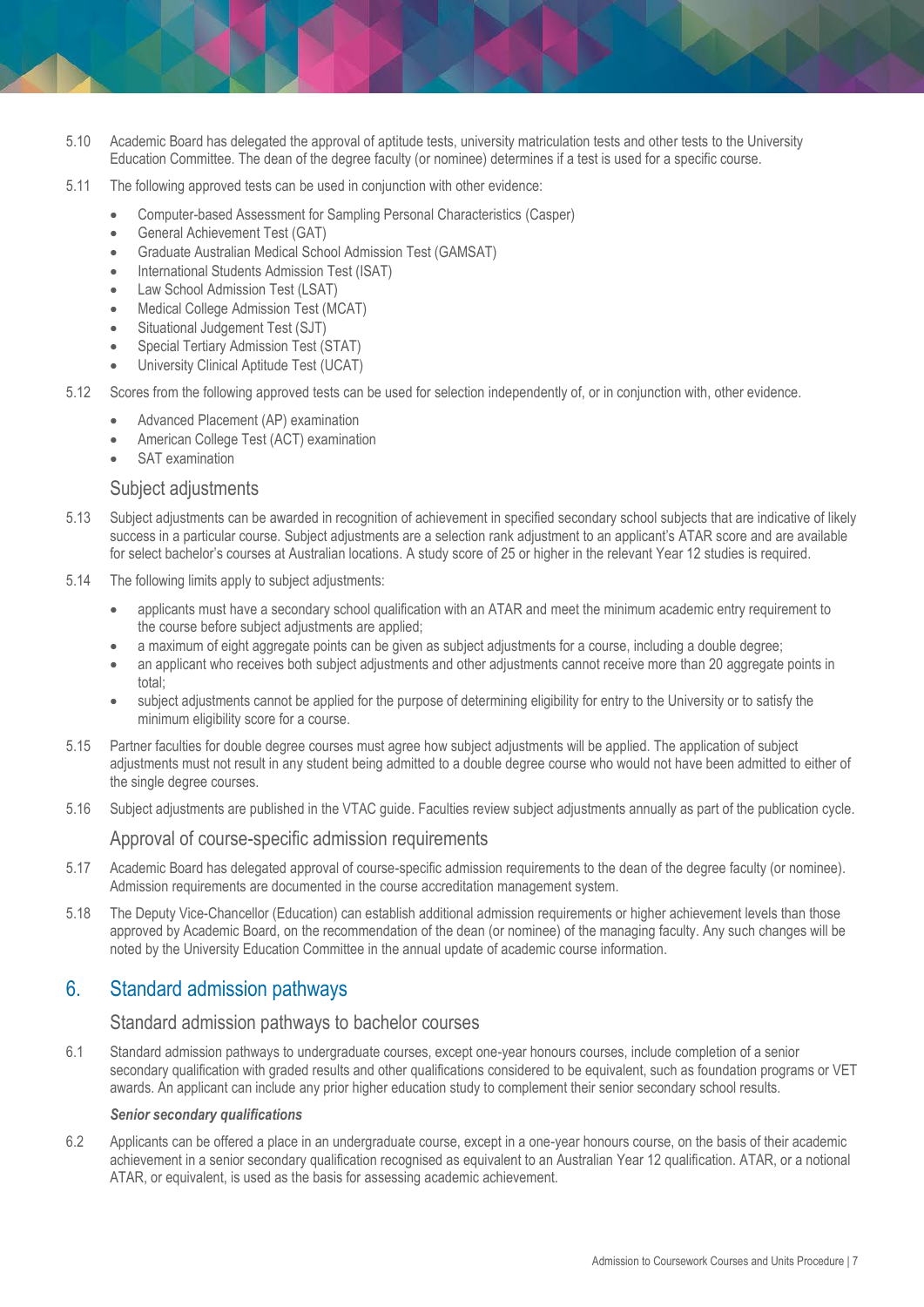- 5.10 Academic Board has delegated the approval of aptitude tests, university matriculation tests and other tests to the University Education Committee. The dean of the degree faculty (or nominee) determines if a test is used for a specific course.
- 5.11 The following approved tests can be used in conjunction with other evidence:
	- Computer-based Assessment for Sampling Personal Characteristics (Casper)
	- General Achievement Test (GAT)
	- Graduate Australian Medical School Admission Test (GAMSAT)
	- International Students Admission Test (ISAT)
	- Law School Admission Test (LSAT)
	- Medical College Admission Test (MCAT)
	- Situational Judgement Test (SJT)
	- Special Tertiary Admission Test (STAT)
	- University Clinical Aptitude Test (UCAT)
- 5.12 Scores from the following approved tests can be used for selection independently of, or in conjunction with, other evidence.
	- Advanced Placement (AP) examination
	- American College Test (ACT) examination
	- SAT examination

#### Subject adjustments

- 5.13 Subject adjustments can be awarded in recognition of achievement in specified secondary school subjects that are indicative of likely success in a particular course. Subject adjustments are a selection rank adjustment to an applicant's ATAR score and are available for select bachelor's courses at Australian locations. A study score of 25 or higher in the relevant Year 12 studies is required.
- 5.14 The following limits apply to subject adjustments:
	- applicants must have a secondary school qualification with an ATAR and meet the minimum academic entry requirement to the course before subject adjustments are applied;
	- a maximum of eight aggregate points can be given as subject adjustments for a course, including a double degree;
	- an applicant who receives both subject adjustments and other adjustments cannot receive more than 20 aggregate points in total;
	- subject adjustments cannot be applied for the purpose of determining eligibility for entry to the University or to satisfy the minimum eligibility score for a course.
- 5.15 Partner faculties for double degree courses must agree how subject adjustments will be applied. The application of subject adjustments must not result in any student being admitted to a double degree course who would not have been admitted to either of the single degree courses.
- 5.16 Subject adjustments are published in the VTAC guide. Faculties review subject adjustments annually as part of the publication cycle.

#### Approval of course-specific admission requirements

- 5.17 Academic Board has delegated approval of course-specific admission requirements to the dean of the degree faculty (or nominee). Admission requirements are documented in the course accreditation management system.
- 5.18 The Deputy Vice-Chancellor (Education) can establish additional admission requirements or higher achievement levels than those approved by Academic Board, on the recommendation of the dean (or nominee) of the managing faculty. Any such changes will be noted by the University Education Committee in the annual update of academic course information.

## <span id="page-6-0"></span>6. Standard admission pathways

#### Standard admission pathways to bachelor courses

6.1 Standard admission pathways to undergraduate courses, except one-year honours courses, include completion of a senior secondary qualification with graded results and other qualifications considered to be equivalent, such as foundation programs or VET awards. An applicant can include any prior higher education study to complement their senior secondary school results.

#### *Senior secondary qualifications*

6.2 Applicants can be offered a place in an undergraduate course, except in a one-year honours course, on the basis of their academic achievement in a senior secondary qualification recognised as equivalent to an Australian Year 12 qualification. ATAR, or a notional ATAR, or equivalent, is used as the basis for assessing academic achievement.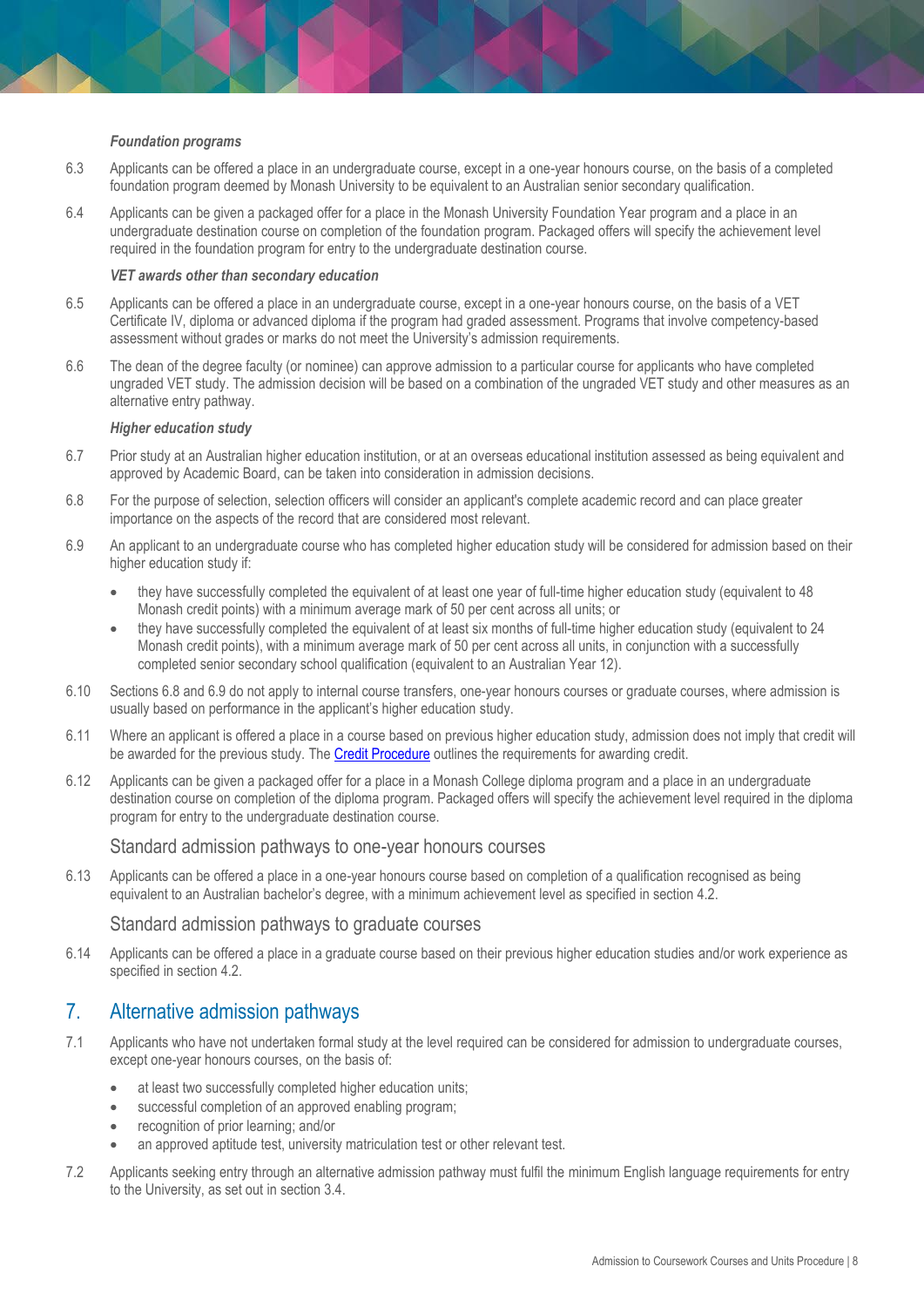#### *Foundation programs*

- 6.3 Applicants can be offered a place in an undergraduate course, except in a one-year honours course, on the basis of a completed foundation program deemed by Monash University to be equivalent to an Australian senior secondary qualification.
- 6.4 Applicants can be given a packaged offer for a place in the Monash University Foundation Year program and a place in an undergraduate destination course on completion of the foundation program. Packaged offers will specify the achievement level required in the foundation program for entry to the undergraduate destination course.

#### *VET awards other than secondary education*

- 6.5 Applicants can be offered a place in an undergraduate course, except in a one-year honours course, on the basis of a VET Certificate IV, diploma or advanced diploma if the program had graded assessment. Programs that involve competency-based assessment without grades or marks do not meet the University's admission requirements.
- 6.6 The dean of the degree faculty (or nominee) can approve admission to a particular course for applicants who have completed ungraded VET study. The admission decision will be based on a combination of the ungraded VET study and other measures as an alternative entry pathway.

#### *Higher education study*

- 6.7 Prior study at an Australian higher education institution, or at an overseas educational institution assessed as being equivalent and approved by Academic Board, can be taken into consideration in admission decisions.
- 6.8 For the purpose of selection, selection officers will consider an applicant's complete academic record and can place greater importance on the aspects of the record that are considered most relevant.
- 6.9 An applicant to an undergraduate course who has completed higher education study will be considered for admission based on their higher education study if:
	- they have successfully completed the equivalent of at least one year of full-time higher education study (equivalent to 48 Monash credit points) with a minimum average mark of 50 per cent across all units; or
	- they have successfully completed the equivalent of at least six months of full-time higher education study (equivalent to 24 Monash credit points), with a minimum average mark of 50 per cent across all units, in conjunction with a successfully completed senior secondary school qualification (equivalent to an Australian Year 12).
- 6.10 Sections 6.8 and 6.9 do not apply to internal course transfers, one-year honours courses or graduate courses, where admission is usually based on performance in the applicant's higher education study.
- 6.11 Where an applicant is offered a place in a course based on previous higher education study, admission does not imply that credit will be awarded for the previous study. The [Credit Procedure](https://publicpolicydms.monash.edu/Monash/documents/1935759) outlines the requirements for awarding credit.
- 6.12 Applicants can be given a packaged offer for a place in a Monash College diploma program and a place in an undergraduate destination course on completion of the diploma program. Packaged offers will specify the achievement level required in the diploma program for entry to the undergraduate destination course.

#### Standard admission pathways to one-year honours courses

6.13 Applicants can be offered a place in a one-year honours course based on completion of a qualification recognised as being equivalent to an Australian bachelor's degree, with a minimum achievement level as specified in section 4.2.

#### Standard admission pathways to graduate courses

6.14 Applicants can be offered a place in a graduate course based on their previous higher education studies and/or work experience as specified in section 4.2.

## <span id="page-7-0"></span>7. Alternative admission pathways

- 7.1 Applicants who have not undertaken formal study at the level required can be considered for admission to undergraduate courses, except one-year honours courses, on the basis of:
	- at least two successfully completed higher education units;
	- successful completion of an approved enabling program;
	- recognition of prior learning; and/or
	- an approved aptitude test, university matriculation test or other relevant test.
- 7.2 Applicants seeking entry through an alternative admission pathway must fulfil the minimum English language requirements for entry to the University, as set out in section 3.4.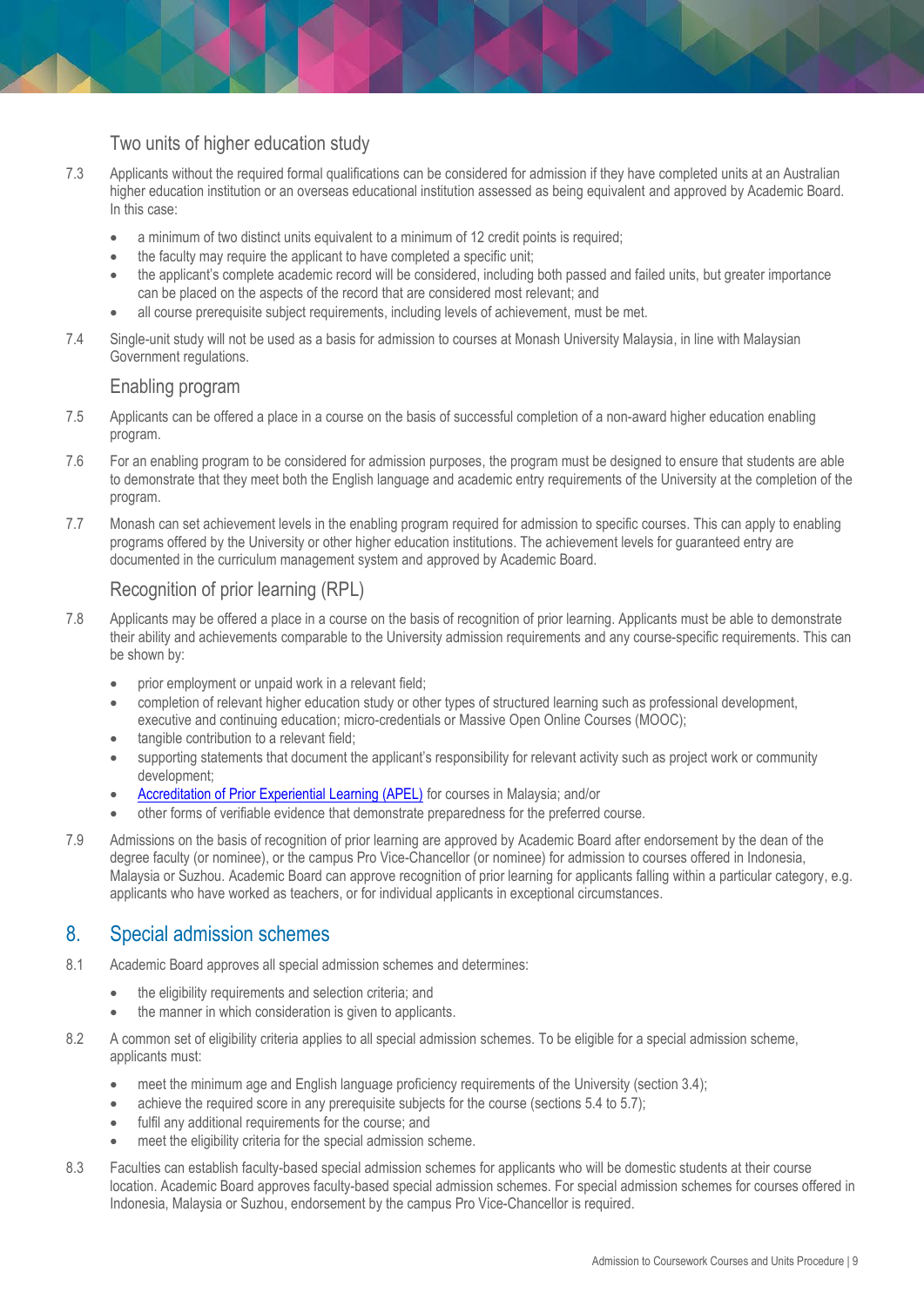## Two units of higher education study

- 7.3 Applicants without the required formal qualifications can be considered for admission if they have completed units at an Australian higher education institution or an overseas educational institution assessed as being equivalent and approved by Academic Board. In this case:
	- a minimum of two distinct units equivalent to a minimum of 12 credit points is required;
	- the faculty may require the applicant to have completed a specific unit;
	- the applicant's complete academic record will be considered, including both passed and failed units, but greater importance can be placed on the aspects of the record that are considered most relevant; and
	- all course prerequisite subject requirements, including levels of achievement, must be met.
- 7.4 Single-unit study will not be used as a basis for admission to courses at Monash University Malaysia, in line with Malaysian Government regulations.

#### Enabling program

- 7.5 Applicants can be offered a place in a course on the basis of successful completion of a non-award higher education enabling program.
- 7.6 For an enabling program to be considered for admission purposes, the program must be designed to ensure that students are able to demonstrate that they meet both the English language and academic entry requirements of the University at the completion of the program.
- 7.7 Monash can set achievement levels in the enabling program required for admission to specific courses. This can apply to enabling programs offered by the University or other higher education institutions. The achievement levels for guaranteed entry are documented in the curriculum management system and approved by Academic Board.

## Recognition of prior learning (RPL)

- 7.8 Applicants may be offered a place in a course on the basis of recognition of prior learning. Applicants must be able to demonstrate their ability and achievements comparable to the University admission requirements and any course-specific requirements. This can be shown by:
	- prior employment or unpaid work in a relevant field;
	- completion of relevant higher education study or other types of structured learning such as professional development, executive and continuing education; micro-credentials or Massive Open Online Courses (MOOC);
	- tangible contribution to a relevant field;
	- supporting statements that document the applicant's responsibility for relevant activity such as project work or community development;
	- [Accreditation of Prior Experiential Learning \(APEL\)](https://www2.mqa.gov.my/apel/APEL_A/en/index.html) for courses in Malaysia; and/or
	- other forms of verifiable evidence that demonstrate preparedness for the preferred course.
- 7.9 Admissions on the basis of recognition of prior learning are approved by Academic Board after endorsement by the dean of the degree faculty (or nominee), or the campus Pro Vice-Chancellor (or nominee) for admission to courses offered in Indonesia, Malaysia or Suzhou. Academic Board can approve recognition of prior learning for applicants falling within a particular category, e.g. applicants who have worked as teachers, or for individual applicants in exceptional circumstances.

## <span id="page-8-0"></span>8. Special admission schemes

- 8.1 Academic Board approves all special admission schemes and determines:
	- the eligibility requirements and selection criteria; and
	- the manner in which consideration is given to applicants.
- 8.2 A common set of eligibility criteria applies to all special admission schemes. To be eligible for a special admission scheme, applicants must:
	- meet the minimum age and English language proficiency requirements of the University (section 3.4);
	- achieve the required score in any prerequisite subjects for the course (sections 5.4 to 5.7);
	- fulfil any additional requirements for the course; and
	- meet the eligibility criteria for the special admission scheme.
- 8.3 Faculties can establish faculty-based special admission schemes for applicants who will be domestic students at their course location. Academic Board approves faculty-based special admission schemes. For special admission schemes for courses offered in Indonesia, Malaysia or Suzhou, endorsement by the campus Pro Vice-Chancellor is required.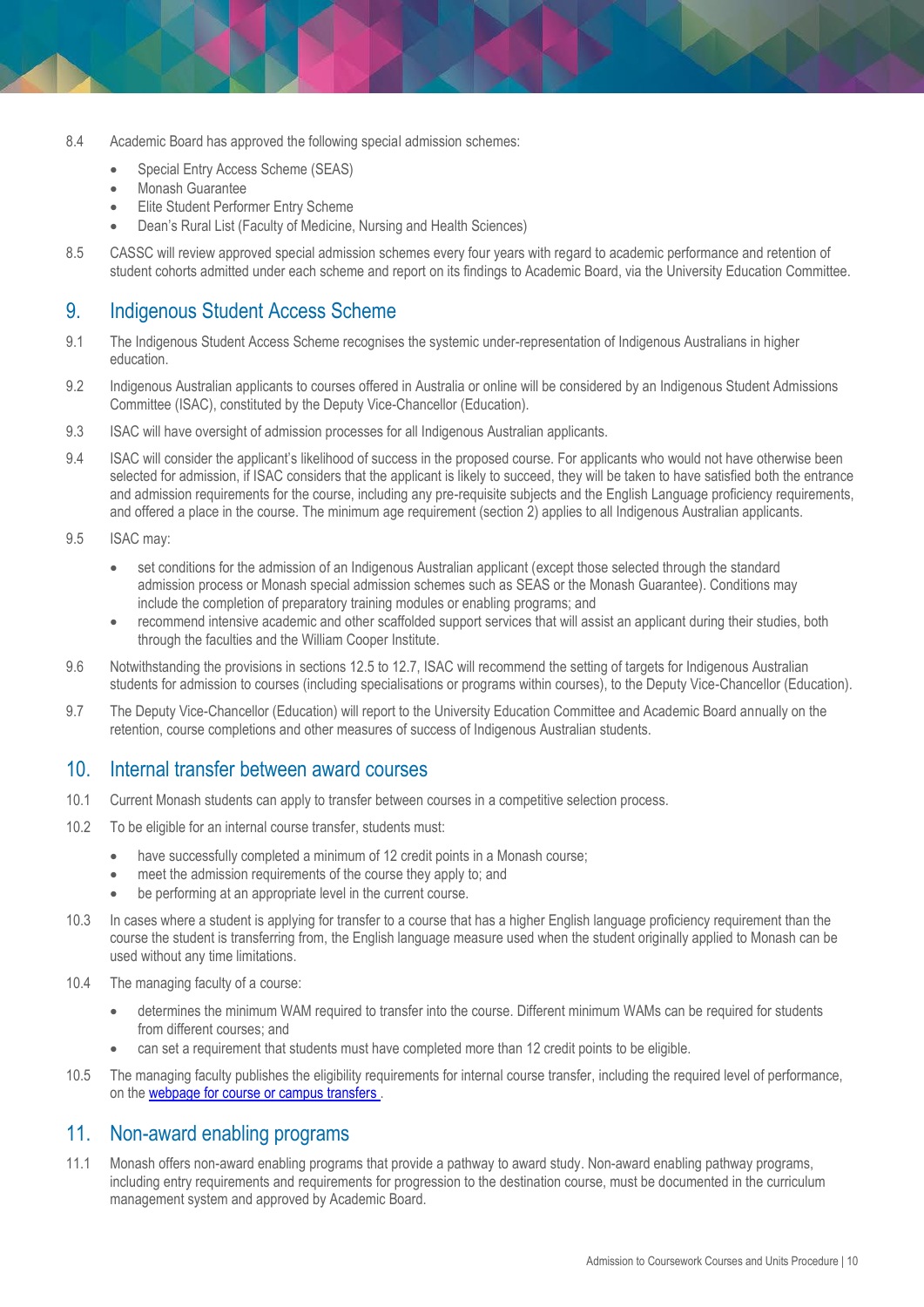- 8.4 Academic Board has approved the following special admission schemes:
	- Special Entry Access Scheme (SEAS)
	- Monash Guarantee
	- Elite Student Performer Entry Scheme
	- Dean's Rural List (Faculty of Medicine, Nursing and Health Sciences)
- 8.5 CASSC will review approved special admission schemes every four years with regard to academic performance and retention of student cohorts admitted under each scheme and report on its findings to Academic Board, via the University Education Committee.

# <span id="page-9-0"></span>9. Indigenous Student Access Scheme

- 9.1 The Indigenous Student Access Scheme recognises the systemic under-representation of Indigenous Australians in higher education.
- 9.2 Indigenous Australian applicants to courses offered in Australia or online will be considered by an Indigenous Student Admissions Committee (ISAC), constituted by the Deputy Vice-Chancellor (Education).
- 9.3 ISAC will have oversight of admission processes for all Indigenous Australian applicants.
- 9.4 ISAC will consider the applicant's likelihood of success in the proposed course. For applicants who would not have otherwise been selected for admission, if ISAC considers that the applicant is likely to succeed, they will be taken to have satisfied both the entrance and admission requirements for the course, including any pre-requisite subjects and the English Language proficiency requirements, and offered a place in the course. The minimum age requirement (section 2) applies to all Indigenous Australian applicants.
- 9.5 ISAC may:
	- set conditions for the admission of an Indigenous Australian applicant (except those selected through the standard admission process or Monash special admission schemes such as SEAS or the Monash Guarantee). Conditions may include the completion of preparatory training modules or enabling programs; and
	- recommend intensive academic and other scaffolded support services that will assist an applicant during their studies, both through the faculties and the William Cooper Institute.
- 9.6 Notwithstanding the provisions in sections 12.5 to 12.7, ISAC will recommend the setting of targets for Indigenous Australian students for admission to courses (including specialisations or programs within courses), to the Deputy Vice-Chancellor (Education).
- 9.7 The Deputy Vice-Chancellor (Education) will report to the University Education Committee and Academic Board annually on the retention, course completions and other measures of success of Indigenous Australian students.

# <span id="page-9-1"></span>10. Internal transfer between award courses

- 10.1 Current Monash students can apply to transfer between courses in a competitive selection process.
- 10.2 To be eligible for an internal course transfer, students must:
	- have successfully completed a minimum of 12 credit points in a Monash course;
	- meet the admission requirements of the course they apply to; and
	- be performing at an appropriate level in the current course.
- 10.3 In cases where a student is applying for transfer to a course that has a higher English language proficiency requirement than the course the student is transferring from, the English language measure used when the student originally applied to Monash can be used without any time limitations.
- 10.4 The managing faculty of a course:
	- determines the minimum WAM required to transfer into the course. Different minimum WAMs can be required for students from different courses; and
	- can set a requirement that students must have completed more than 12 credit points to be eligible.
- 10.5 The managing faculty publishes the eligibility requirements for internal course transfer, including the required level of performance, on the [webpage for course or campus transfers](http://www.monash.edu/admissions/study-options/internal-transfer) .

## <span id="page-9-2"></span>11. Non-award enabling programs

11.1 Monash offers non-award enabling programs that provide a pathway to award study. Non-award enabling pathway programs, including entry requirements and requirements for progression to the destination course, must be documented in the curriculum management system and approved by Academic Board.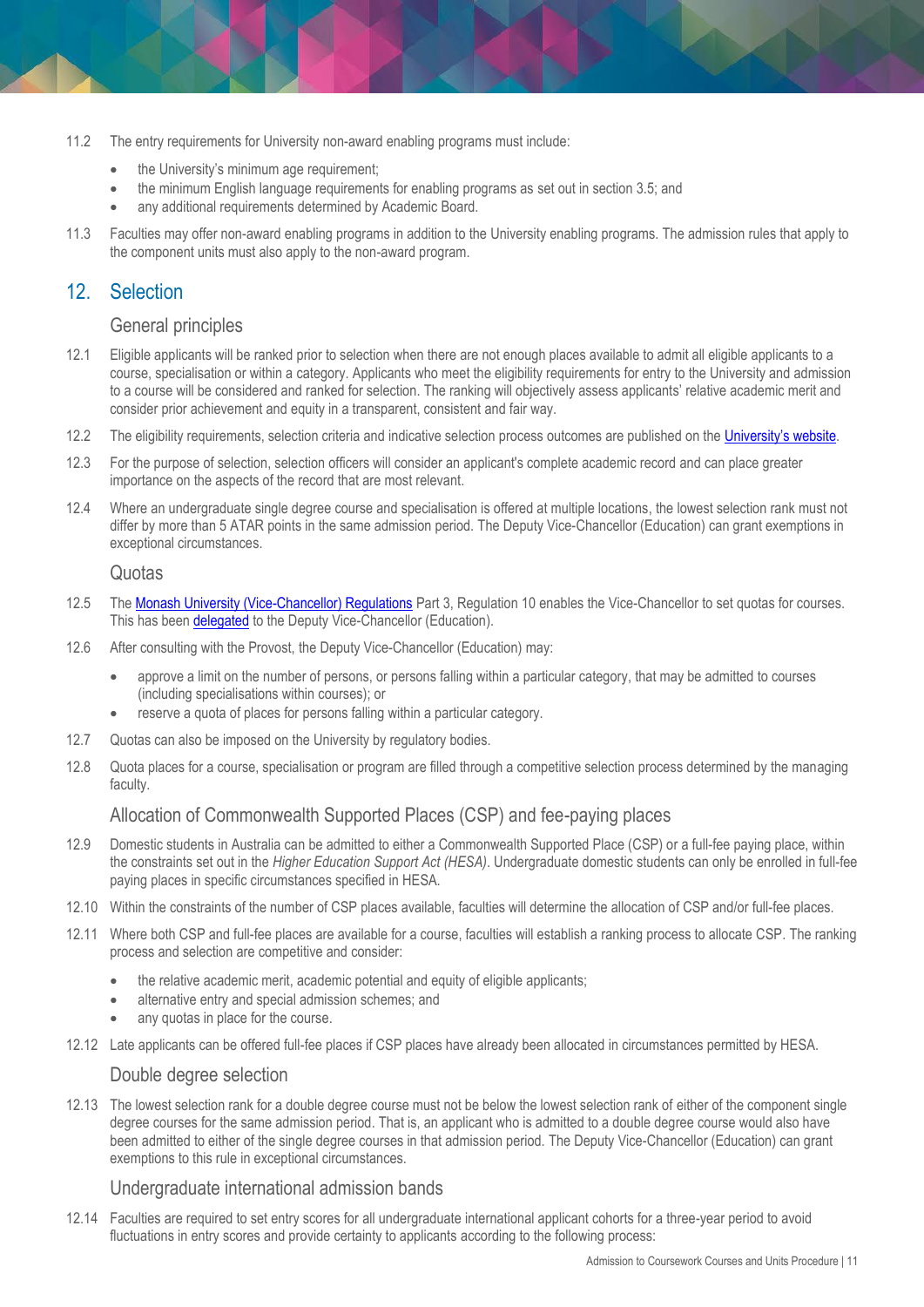- 11.2 The entry requirements for University non-award enabling programs must include:
	- the University's minimum age requirement;
	- the minimum English language requirements for enabling programs as set out in section 3.5; and
	- any additional requirements determined by Academic Board.
- 11.3 Faculties may offer non-award enabling programs in addition to the University enabling programs. The admission rules that apply to the component units must also apply to the non-award program.

# <span id="page-10-0"></span>12. Selection

#### General principles

- 12.1 Eligible applicants will be ranked prior to selection when there are not enough places available to admit all eligible applicants to a course, specialisation or within a category. Applicants who meet the eligibility requirements for entry to the University and admission to a course will be considered and ranked for selection. The ranking will objectively assess applicants' relative academic merit and consider prior achievement and equity in a transparent, consistent and fair way.
- 12.2 The eligibility requirements, selection criteria and indicative selection process outcomes are published on the [University's website](https://www.monash.edu/study/courses/find-a-course).
- 12.3 For the purpose of selection, selection officers will consider an applicant's complete academic record and can place greater importance on the aspects of the record that are most relevant.
- 12.4 Where an undergraduate single degree course and specialisation is offered at multiple locations, the lowest selection rank must not differ by more than 5 ATAR points in the same admission period. The Deputy Vice-Chancellor (Education) can grant exemptions in exceptional circumstances.

#### Quotas

- 12.5 Th[e Monash University \(Vice-Chancellor\) Regulations](http://www.monash.edu/legal/legislation/current-statute-regulations-and-related-resolutions) Part 3, Regulation 10 enables the Vice-Chancellor to set quotas for courses. This has been [delegated](https://www.monash.edu/about/structure/delegations) to the Deputy Vice-Chancellor (Education).
- 12.6 After consulting with the Provost, the Deputy Vice-Chancellor (Education) may:
	- approve a limit on the number of persons, or persons falling within a particular category, that may be admitted to courses (including specialisations within courses); or
	- reserve a quota of places for persons falling within a particular category.
- 12.7 Quotas can also be imposed on the University by regulatory bodies.
- 12.8 Quota places for a course, specialisation or program are filled through a competitive selection process determined by the managing faculty.

#### Allocation of Commonwealth Supported Places (CSP) and fee-paying places

- 12.9 Domestic students in Australia can be admitted to either a Commonwealth Supported Place (CSP) or a full-fee paying place, within the constraints set out in the *Higher Education Support Act (HESA)*. Undergraduate domestic students can only be enrolled in full-fee paying places in specific circumstances specified in HESA.
- 12.10 Within the constraints of the number of CSP places available, faculties will determine the allocation of CSP and/or full-fee places.
- 12.11 Where both CSP and full-fee places are available for a course, faculties will establish a ranking process to allocate CSP. The ranking process and selection are competitive and consider:
	- the relative academic merit, academic potential and equity of eligible applicants;
	- alternative entry and special admission schemes; and
	- any quotas in place for the course.
- 12.12 Late applicants can be offered full-fee places if CSP places have already been allocated in circumstances permitted by HESA.

#### Double degree selection

12.13 The lowest selection rank for a double degree course must not be below the lowest selection rank of either of the component single degree courses for the same admission period. That is, an applicant who is admitted to a double degree course would also have been admitted to either of the single degree courses in that admission period. The Deputy Vice-Chancellor (Education) can grant exemptions to this rule in exceptional circumstances.

#### Undergraduate international admission bands

12.14 Faculties are required to set entry scores for all undergraduate international applicant cohorts for a three-year period to avoid fluctuations in entry scores and provide certainty to applicants according to the following process: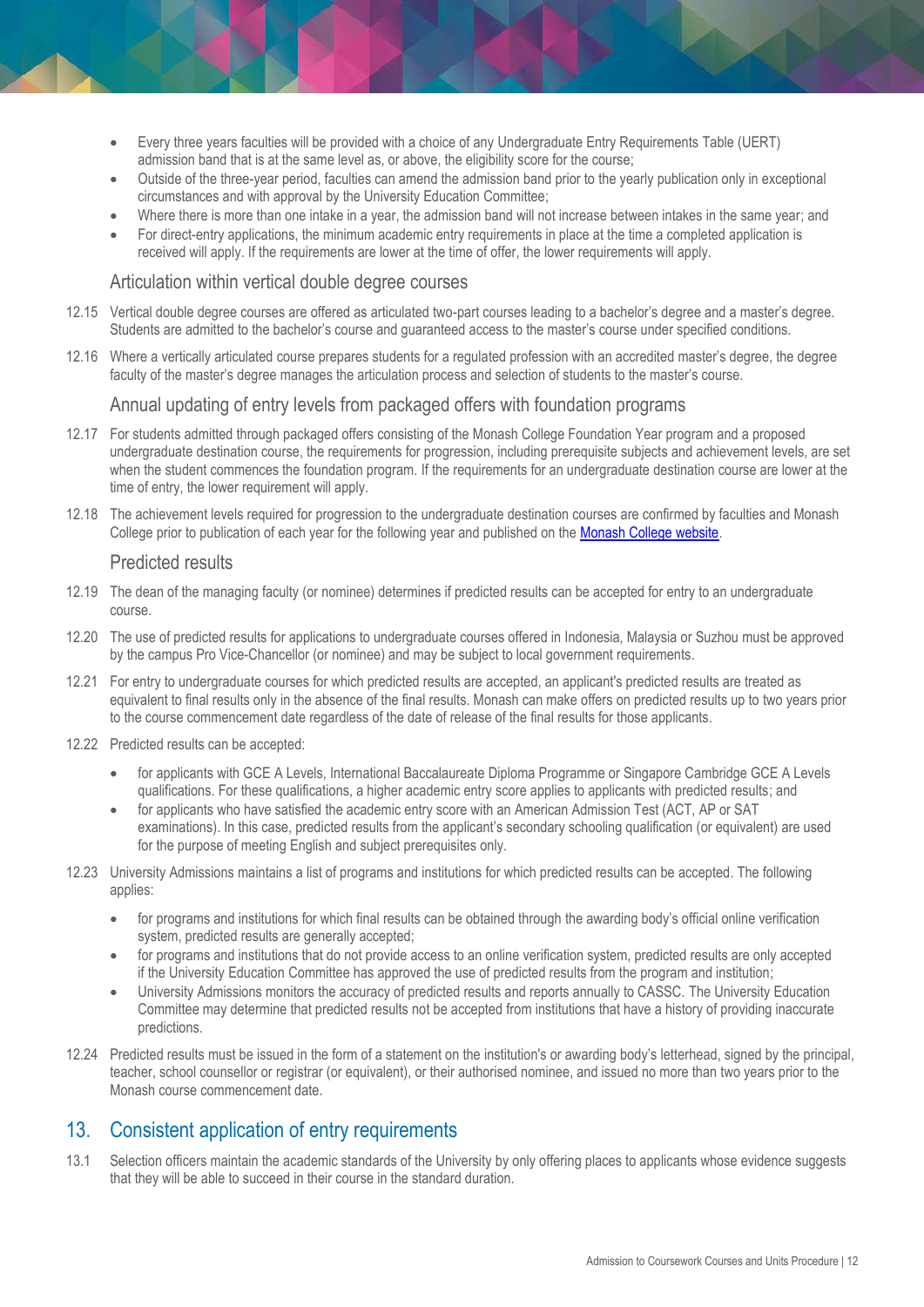- Every three years faculties will be provided with a choice of any Undergraduate Entry Requirements Table (UERT) admission band that is at the same level as, or above, the eligibility score for the course;
- Outside of the three-year period, faculties can amend the admission band prior to the yearly publication only in exceptional circumstances and with approval by the University Education Committee;
- Where there is more than one intake in a year, the admission band will not increase between intakes in the same year; and
- For direct-entry applications, the minimum academic entry requirements in place at the time a completed application is received will apply. If the requirements are lower at the time of offer, the lower requirements will apply.

#### Articulation within vertical double degree courses

- 12.15 Vertical double degree courses are offered as articulated two-part courses leading to a bachelor's degree and a master's degree. Students are admitted to the bachelor's course and guaranteed access to the master's course under specified conditions.
- 12.16 Where a vertically articulated course prepares students for a regulated profession with an accredited master's degree, the degree faculty of the master's degree manages the articulation process and selection of students to the master's course.

#### Annual updating of entry levels from packaged offers with foundation programs

- 12.17 For students admitted through packaged offers consisting of the Monash College Foundation Year program and a proposed undergraduate destination course, the requirements for progression, including prerequisite subjects and achievement levels, are set when the student commences the foundation program. If the requirements for an undergraduate destination course are lower at the time of entry, the lower requirement will apply.
- 12.18 The achievement levels required for progression to the undergraduate destination courses are confirmed by faculties and Monash College prior to publication of each year for the following year and published on the [Monash College website.](https://www.monashcollege.edu.au/courses/foundation-year/destination-degrees)

#### Predicted results

- 12.19 The dean of the managing faculty (or nominee) determines if predicted results can be accepted for entry to an undergraduate course.
- 12.20 The use of predicted results for applications to undergraduate courses offered in Indonesia, Malaysia or Suzhou must be approved by the campus Pro Vice-Chancellor (or nominee) and may be subject to local government requirements.
- 12.21 For entry to undergraduate courses for which predicted results are accepted, an applicant's predicted results are treated as equivalent to final results only in the absence of the final results. Monash can make offers on predicted results up to two years prior to the course commencement date regardless of the date of release of the final results for those applicants.
- 12.22 Predicted results can be accepted:
	- for applicants with GCE A Levels, International Baccalaureate Diploma Programme or Singapore Cambridge GCE A Levels qualifications. For these qualifications, a higher academic entry score applies to applicants with predicted results; and
	- for applicants who have satisfied the academic entry score with an American Admission Test (ACT, AP or SAT examinations). In this case, predicted results from the applicant's secondary schooling qualification (or equivalent) are used for the purpose of meeting English and subject prerequisites only.
- 12.23 University Admissions maintains a list of programs and institutions for which predicted results can be accepted. The following applies:
	- for programs and institutions for which final results can be obtained through the awarding body's official online verification system, predicted results are generally accepted;
	- for programs and institutions that do not provide access to an online verification system, predicted results are only accepted if the University Education Committee has approved the use of predicted results from the program and institution;
	- University Admissions monitors the accuracy of predicted results and reports annually to CASSC. The University Education Committee may determine that predicted results not be accepted from institutions that have a history of providing inaccurate predictions.
- 12.24 Predicted results must be issued in the form of a statement on the institution's or awarding body's letterhead, signed by the principal, teacher, school counsellor or registrar (or equivalent), or their authorised nominee, and issued no more than two years prior to the Monash course commencement date.

# <span id="page-11-0"></span>13. Consistent application of entry requirements

13.1 Selection officers maintain the academic standards of the University by only offering places to applicants whose evidence suggests that they will be able to succeed in their course in the standard duration.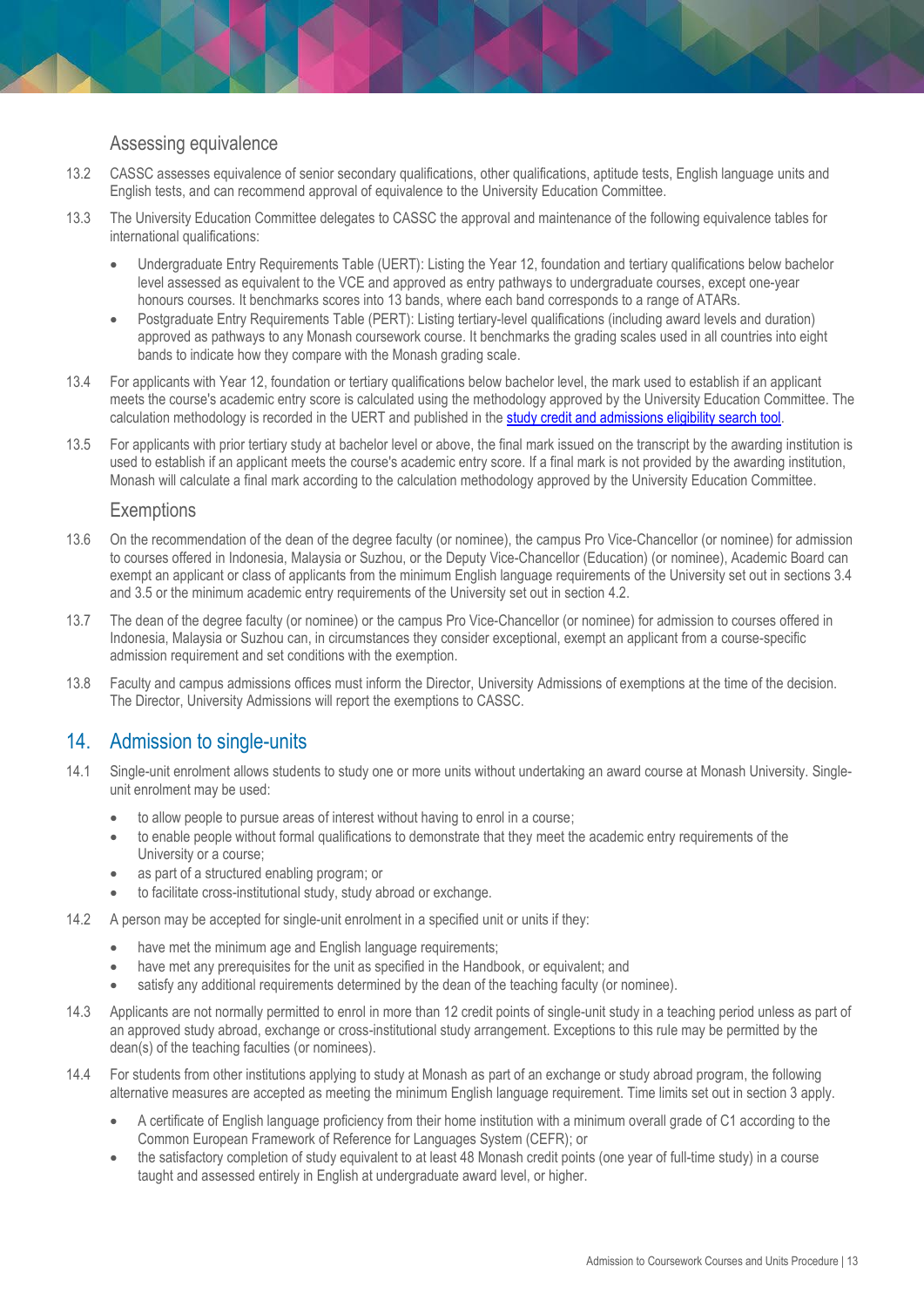## Assessing equivalence

- 13.2 CASSC assesses equivalence of senior secondary qualifications, other qualifications, aptitude tests, English language units and English tests, and can recommend approval of equivalence to the University Education Committee.
- 13.3 The University Education Committee delegates to CASSC the approval and maintenance of the following equivalence tables for international qualifications:
	- Undergraduate Entry Requirements Table (UERT): Listing the Year 12, foundation and tertiary qualifications below bachelor level assessed as equivalent to the VCE and approved as entry pathways to undergraduate courses, except one-year honours courses. It benchmarks scores into 13 bands, where each band corresponds to a range of ATARs.
	- Postgraduate Entry Requirements Table (PERT): Listing tertiary-level qualifications (including award levels and duration) approved as pathways to any Monash coursework course. It benchmarks the grading scales used in all countries into eight bands to indicate how they compare with the Monash grading scale.
- 13.4 For applicants with Year 12, foundation or tertiary qualifications below bachelor level, the mark used to establish if an applicant meets the course's academic entry score is calculated using the methodology approved by the University Education Committee. The calculation methodology is recorded in the UERT and published in th[e study credit and admissions eligibility search tool.](https://www.study.monash/how-to-apply/credit-for-prior-study)
- 13.5 For applicants with prior tertiary study at bachelor level or above, the final mark issued on the transcript by the awarding institution is used to establish if an applicant meets the course's academic entry score. If a final mark is not provided by the awarding institution, Monash will calculate a final mark according to the calculation methodology approved by the University Education Committee.

#### **Exemptions**

- 13.6 On the recommendation of the dean of the degree faculty (or nominee), the campus Pro Vice-Chancellor (or nominee) for admission to courses offered in Indonesia, Malaysia or Suzhou, or the Deputy Vice-Chancellor (Education) (or nominee), Academic Board can exempt an applicant or class of applicants from the minimum English language requirements of the University set out in sections 3.4 and 3.5 or the minimum academic entry requirements of the University set out in section 4.2.
- 13.7 The dean of the degree faculty (or nominee) or the campus Pro Vice-Chancellor (or nominee) for admission to courses offered in Indonesia, Malaysia or Suzhou can, in circumstances they consider exceptional, exempt an applicant from a course-specific admission requirement and set conditions with the exemption.
- 13.8 Faculty and campus admissions offices must inform the Director, University Admissions of exemptions at the time of the decision. The Director, University Admissions will report the exemptions to CASSC.

# <span id="page-12-0"></span>14. Admission to single-units

- 14.1 Single-unit enrolment allows students to study one or more units without undertaking an award course at Monash University. Singleunit enrolment may be used:
	- to allow people to pursue areas of interest without having to enrol in a course;
	- to enable people without formal qualifications to demonstrate that they meet the academic entry requirements of the University or a course;
	- as part of a structured enabling program; or
	- to facilitate cross-institutional study, study abroad or exchange.
- 14.2 A person may be accepted for single-unit enrolment in a specified unit or units if they:
	- have met the minimum age and English language requirements;
	- have met any prerequisites for the unit as specified in the Handbook, or equivalent; and
	- satisfy any additional requirements determined by the dean of the teaching faculty (or nominee).
- 14.3 Applicants are not normally permitted to enrol in more than 12 credit points of single-unit study in a teaching period unless as part of an approved study abroad, exchange or cross-institutional study arrangement. Exceptions to this rule may be permitted by the dean(s) of the teaching faculties (or nominees).
- 14.4 For students from other institutions applying to study at Monash as part of an exchange or study abroad program, the following alternative measures are accepted as meeting the minimum English language requirement. Time limits set out in section 3 apply.
	- A certificate of English language proficiency from their home institution with a minimum overall grade of C1 according to the Common European Framework of Reference for Languages System (CEFR); or
	- the satisfactory completion of study equivalent to at least 48 Monash credit points (one year of full-time study) in a course taught and assessed entirely in English at undergraduate award level, or higher.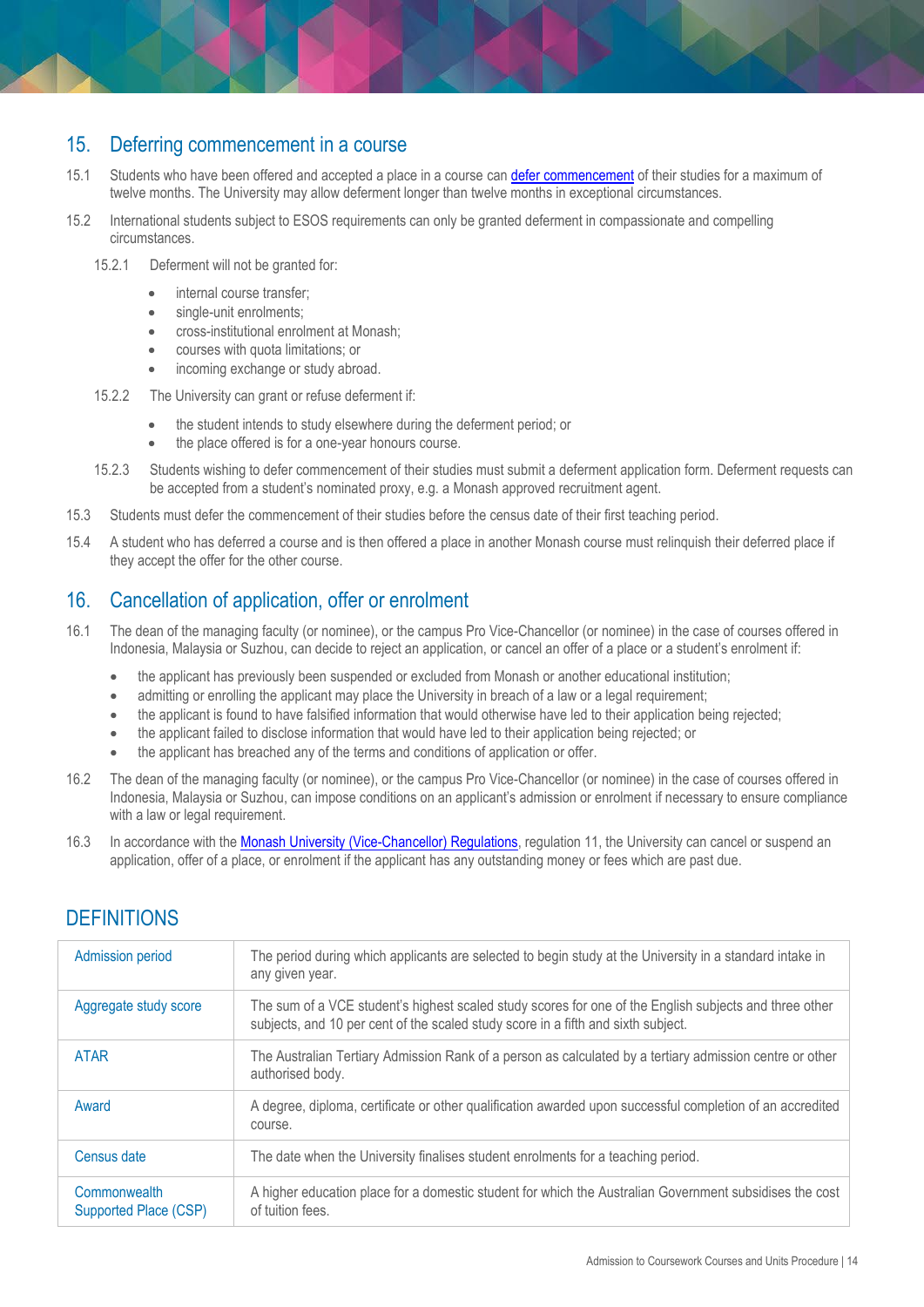# <span id="page-13-0"></span>15. Deferring commencement in a course

- 15.1 Students who have been offered and accepted a place in a course can [defer commencement](https://www.monash.edu/admissions/study-options/defer) of their studies for a maximum of twelve months. The University may allow deferment longer than twelve months in exceptional circumstances.
- 15.2 International students subject to ESOS requirements can only be granted deferment in compassionate and compelling circumstances.
	- 15.2.1 Deferment will not be granted for:
		- internal course transfer;
		- single-unit enrolments;
		- cross-institutional enrolment at Monash;
		- courses with quota limitations; or
		- incoming exchange or study abroad.
	- 15.2.2 The University can grant or refuse deferment if:
		- the student intends to study elsewhere during the deferment period; or
		- the place offered is for a one-year honours course.
	- 15.2.3 Students wishing to defer commencement of their studies must submit a deferment application form. Deferment requests can be accepted from a student's nominated proxy, e.g. a Monash approved recruitment agent.
- 15.3 Students must defer the commencement of their studies before the census date of their first teaching period.
- 15.4 A student who has deferred a course and is then offered a place in another Monash course must relinquish their deferred place if they accept the offer for the other course.

# <span id="page-13-1"></span>16. Cancellation of application, offer or enrolment

- 16.1 The dean of the managing faculty (or nominee), or the campus Pro Vice-Chancellor (or nominee) in the case of courses offered in Indonesia, Malaysia or Suzhou, can decide to reject an application, or cancel an offer of a place or a student's enrolment if:
	- the applicant has previously been suspended or excluded from Monash or another educational institution;
	- admitting or enrolling the applicant may place the University in breach of a law or a legal requirement;
	- the applicant is found to have falsified information that would otherwise have led to their application being rejected;
	- the applicant failed to disclose information that would have led to their application being rejected; or
	- the applicant has breached any of the terms and conditions of application or offer.
- 16.2 The dean of the managing faculty (or nominee), or the campus Pro Vice-Chancellor (or nominee) in the case of courses offered in Indonesia, Malaysia or Suzhou, can impose conditions on an applicant's admission or enrolment if necessary to ensure compliance with a law or legal requirement.
- 16.3 In accordance with the **Monash University (Vice-Chancellor) Regulations**, regulation 11, the University can cancel or suspend an application, offer of a place, or enrolment if the applicant has any outstanding money or fees which are past due.

| The period during which applicants are selected to begin study at the University in a standard intake in<br><b>Admission period</b><br>any given year.<br>The sum of a VCE student's highest scaled study scores for one of the English subjects and three other<br>Aggregate study score<br>subjects, and 10 per cent of the scaled study score in a fifth and sixth subject.<br>The Australian Tertiary Admission Rank of a person as calculated by a tertiary admission centre or other<br><b>ATAR</b><br>authorised body.<br>A degree, diploma, certificate or other qualification awarded upon successful completion of an accredited<br>Award<br>course.<br>The date when the University finalises student enrolments for a teaching period.<br>Census date<br>A higher education place for a domestic student for which the Australian Government subsidises the cost<br>Commonwealth<br>of tuition fees.<br>Supported Place (CSP) |  |
|-------------------------------------------------------------------------------------------------------------------------------------------------------------------------------------------------------------------------------------------------------------------------------------------------------------------------------------------------------------------------------------------------------------------------------------------------------------------------------------------------------------------------------------------------------------------------------------------------------------------------------------------------------------------------------------------------------------------------------------------------------------------------------------------------------------------------------------------------------------------------------------------------------------------------------------------|--|
|                                                                                                                                                                                                                                                                                                                                                                                                                                                                                                                                                                                                                                                                                                                                                                                                                                                                                                                                           |  |
|                                                                                                                                                                                                                                                                                                                                                                                                                                                                                                                                                                                                                                                                                                                                                                                                                                                                                                                                           |  |
|                                                                                                                                                                                                                                                                                                                                                                                                                                                                                                                                                                                                                                                                                                                                                                                                                                                                                                                                           |  |
|                                                                                                                                                                                                                                                                                                                                                                                                                                                                                                                                                                                                                                                                                                                                                                                                                                                                                                                                           |  |
|                                                                                                                                                                                                                                                                                                                                                                                                                                                                                                                                                                                                                                                                                                                                                                                                                                                                                                                                           |  |
|                                                                                                                                                                                                                                                                                                                                                                                                                                                                                                                                                                                                                                                                                                                                                                                                                                                                                                                                           |  |

# **DEFINITIONS**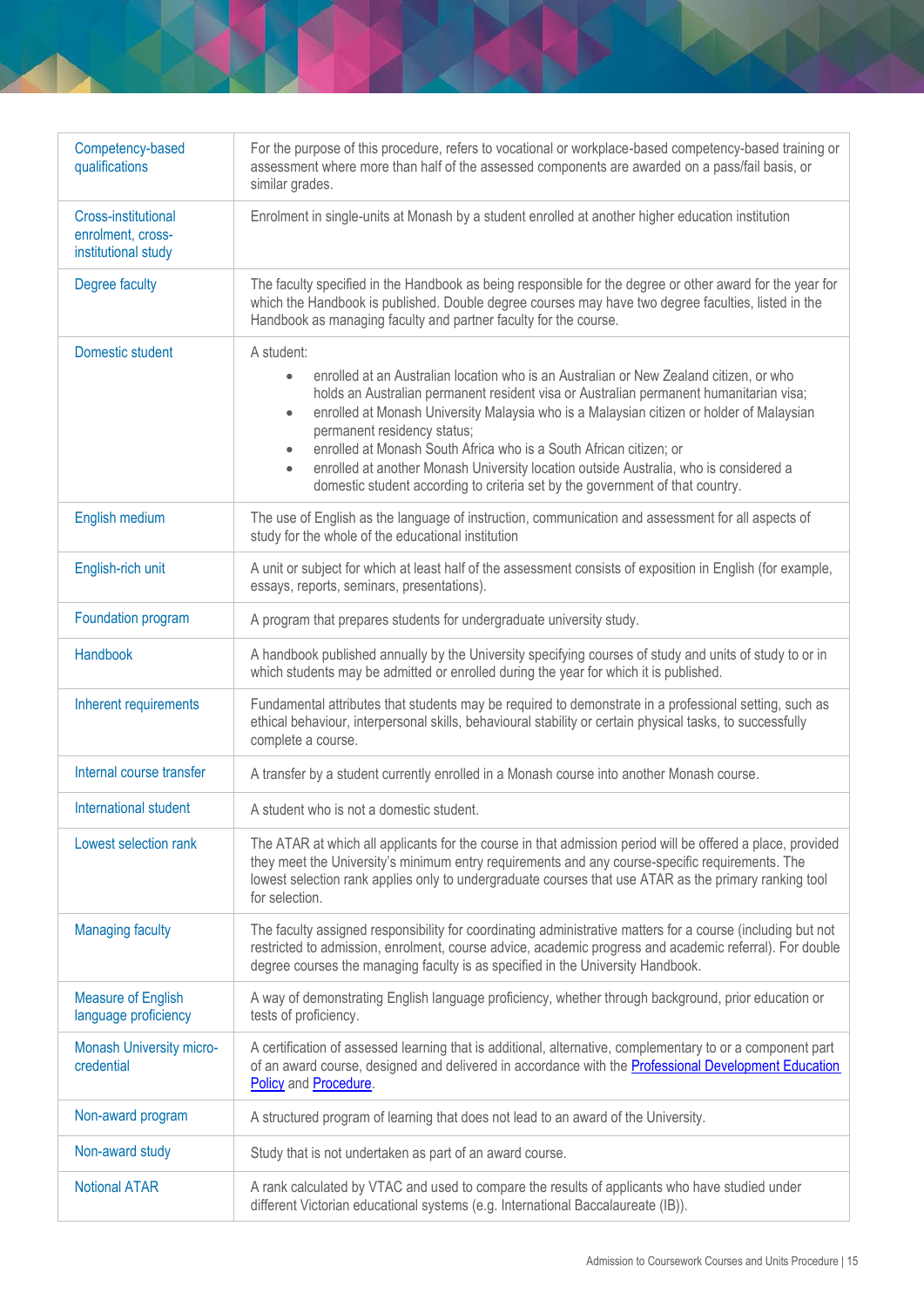| Competency-based<br>qualifications                              | For the purpose of this procedure, refers to vocational or workplace-based competency-based training or<br>assessment where more than half of the assessed components are awarded on a pass/fail basis, or<br>similar grades.                                                                                                                                                                                                                                                                                                                                                                       |
|-----------------------------------------------------------------|-----------------------------------------------------------------------------------------------------------------------------------------------------------------------------------------------------------------------------------------------------------------------------------------------------------------------------------------------------------------------------------------------------------------------------------------------------------------------------------------------------------------------------------------------------------------------------------------------------|
| Cross-institutional<br>enrolment, cross-<br>institutional study | Enrolment in single-units at Monash by a student enrolled at another higher education institution                                                                                                                                                                                                                                                                                                                                                                                                                                                                                                   |
| Degree faculty                                                  | The faculty specified in the Handbook as being responsible for the degree or other award for the year for<br>which the Handbook is published. Double degree courses may have two degree faculties, listed in the<br>Handbook as managing faculty and partner faculty for the course.                                                                                                                                                                                                                                                                                                                |
| Domestic student                                                | A student:<br>enrolled at an Australian location who is an Australian or New Zealand citizen, or who<br>holds an Australian permanent resident visa or Australian permanent humanitarian visa;<br>enrolled at Monash University Malaysia who is a Malaysian citizen or holder of Malaysian<br>$\bullet$<br>permanent residency status;<br>enrolled at Monash South Africa who is a South African citizen; or<br>$\bullet$<br>enrolled at another Monash University location outside Australia, who is considered a<br>domestic student according to criteria set by the government of that country. |
| English medium                                                  | The use of English as the language of instruction, communication and assessment for all aspects of<br>study for the whole of the educational institution                                                                                                                                                                                                                                                                                                                                                                                                                                            |
| English-rich unit                                               | A unit or subject for which at least half of the assessment consists of exposition in English (for example,<br>essays, reports, seminars, presentations).                                                                                                                                                                                                                                                                                                                                                                                                                                           |
| Foundation program                                              | A program that prepares students for undergraduate university study.                                                                                                                                                                                                                                                                                                                                                                                                                                                                                                                                |
| Handbook                                                        | A handbook published annually by the University specifying courses of study and units of study to or in<br>which students may be admitted or enrolled during the year for which it is published.                                                                                                                                                                                                                                                                                                                                                                                                    |
| Inherent requirements                                           | Fundamental attributes that students may be required to demonstrate in a professional setting, such as<br>ethical behaviour, interpersonal skills, behavioural stability or certain physical tasks, to successfully<br>complete a course.                                                                                                                                                                                                                                                                                                                                                           |
| Internal course transfer                                        | A transfer by a student currently enrolled in a Monash course into another Monash course.                                                                                                                                                                                                                                                                                                                                                                                                                                                                                                           |
| International student                                           | A student who is not a domestic student.                                                                                                                                                                                                                                                                                                                                                                                                                                                                                                                                                            |
| Lowest selection rank                                           | The ATAR at which all applicants for the course in that admission period will be offered a place, provided<br>they meet the University's minimum entry requirements and any course-specific requirements. The<br>lowest selection rank applies only to undergraduate courses that use ATAR as the primary ranking tool<br>for selection.                                                                                                                                                                                                                                                            |
| <b>Managing faculty</b>                                         | The faculty assigned responsibility for coordinating administrative matters for a course (including but not<br>restricted to admission, enrolment, course advice, academic progress and academic referral). For double<br>degree courses the managing faculty is as specified in the University Handbook.                                                                                                                                                                                                                                                                                           |
| <b>Measure of English</b><br>language proficiency               | A way of demonstrating English language proficiency, whether through background, prior education or<br>tests of proficiency.                                                                                                                                                                                                                                                                                                                                                                                                                                                                        |
| <b>Monash University micro-</b><br>credential                   | A certification of assessed learning that is additional, alternative, complementary to or a component part<br>of an award course, designed and delivered in accordance with the Professional Development Education<br>Policy and Procedure.                                                                                                                                                                                                                                                                                                                                                         |
| Non-award program                                               | A structured program of learning that does not lead to an award of the University.                                                                                                                                                                                                                                                                                                                                                                                                                                                                                                                  |
| Non-award study                                                 | Study that is not undertaken as part of an award course.                                                                                                                                                                                                                                                                                                                                                                                                                                                                                                                                            |
| <b>Notional ATAR</b>                                            | A rank calculated by VTAC and used to compare the results of applicants who have studied under<br>different Victorian educational systems (e.g. International Baccalaureate (IB)).                                                                                                                                                                                                                                                                                                                                                                                                                  |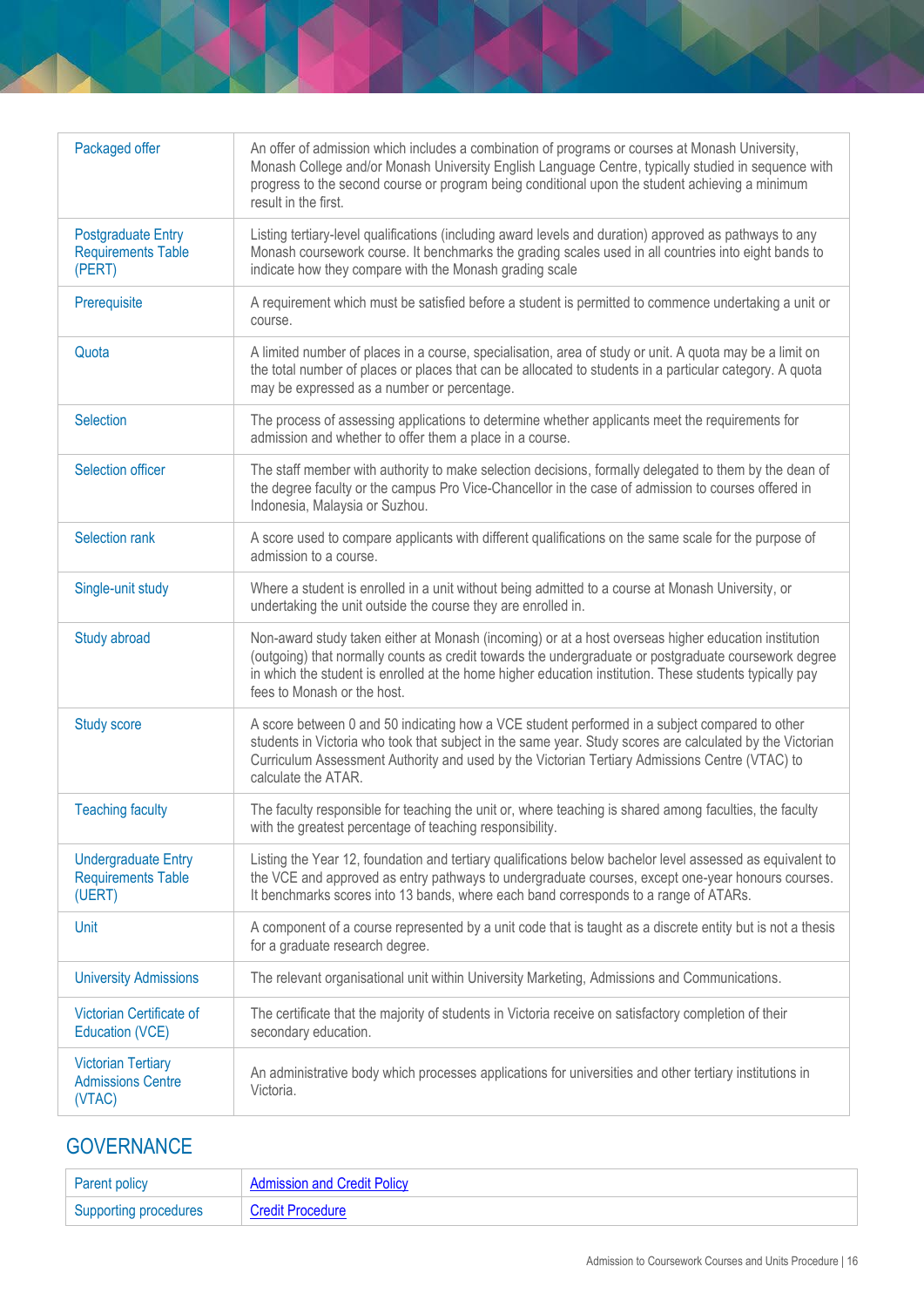| Packaged offer                                                    | An offer of admission which includes a combination of programs or courses at Monash University,<br>Monash College and/or Monash University English Language Centre, typically studied in sequence with<br>progress to the second course or program being conditional upon the student achieving a minimum<br>result in the first.                       |
|-------------------------------------------------------------------|---------------------------------------------------------------------------------------------------------------------------------------------------------------------------------------------------------------------------------------------------------------------------------------------------------------------------------------------------------|
| <b>Postgraduate Entry</b><br><b>Requirements Table</b><br>(PERT)  | Listing tertiary-level qualifications (including award levels and duration) approved as pathways to any<br>Monash coursework course. It benchmarks the grading scales used in all countries into eight bands to<br>indicate how they compare with the Monash grading scale                                                                              |
| Prerequisite                                                      | A requirement which must be satisfied before a student is permitted to commence undertaking a unit or<br>course.                                                                                                                                                                                                                                        |
| Quota                                                             | A limited number of places in a course, specialisation, area of study or unit. A quota may be a limit on<br>the total number of places or places that can be allocated to students in a particular category. A quota<br>may be expressed as a number or percentage.                                                                                     |
| Selection                                                         | The process of assessing applications to determine whether applicants meet the requirements for<br>admission and whether to offer them a place in a course.                                                                                                                                                                                             |
| Selection officer                                                 | The staff member with authority to make selection decisions, formally delegated to them by the dean of<br>the degree faculty or the campus Pro Vice-Chancellor in the case of admission to courses offered in<br>Indonesia, Malaysia or Suzhou.                                                                                                         |
| Selection rank                                                    | A score used to compare applicants with different qualifications on the same scale for the purpose of<br>admission to a course.                                                                                                                                                                                                                         |
| Single-unit study                                                 | Where a student is enrolled in a unit without being admitted to a course at Monash University, or<br>undertaking the unit outside the course they are enrolled in.                                                                                                                                                                                      |
| Study abroad                                                      | Non-award study taken either at Monash (incoming) or at a host overseas higher education institution<br>(outgoing) that normally counts as credit towards the undergraduate or postgraduate coursework degree<br>in which the student is enrolled at the home higher education institution. These students typically pay<br>fees to Monash or the host. |
| <b>Study score</b>                                                | A score between 0 and 50 indicating how a VCE student performed in a subject compared to other<br>students in Victoria who took that subject in the same year. Study scores are calculated by the Victorian<br>Curriculum Assessment Authority and used by the Victorian Tertiary Admissions Centre (VTAC) to<br>calculate the ATAR.                    |
| <b>Teaching faculty</b>                                           | The faculty responsible for teaching the unit or, where teaching is shared among faculties, the faculty<br>with the greatest percentage of teaching responsibility.                                                                                                                                                                                     |
| <b>Undergraduate Entry</b><br><b>Requirements Table</b><br>(UERT) | Listing the Year 12, foundation and tertiary qualifications below bachelor level assessed as equivalent to<br>the VCE and approved as entry pathways to undergraduate courses, except one-year honours courses.<br>It benchmarks scores into 13 bands, where each band corresponds to a range of ATARs.                                                 |
| Unit                                                              | A component of a course represented by a unit code that is taught as a discrete entity but is not a thesis<br>for a graduate research degree.                                                                                                                                                                                                           |
| <b>University Admissions</b>                                      | The relevant organisational unit within University Marketing, Admissions and Communications.                                                                                                                                                                                                                                                            |
| Victorian Certificate of<br>Education (VCE)                       | The certificate that the majority of students in Victoria receive on satisfactory completion of their<br>secondary education.                                                                                                                                                                                                                           |
| <b>Victorian Tertiary</b><br><b>Admissions Centre</b><br>(VTAC)   | An administrative body which processes applications for universities and other tertiary institutions in<br>Victoria.                                                                                                                                                                                                                                    |

# **GOVERNANCE**

| <b>Parent policy</b>         | <b>Admission and Credit Policy</b> |
|------------------------------|------------------------------------|
| <b>Supporting procedures</b> | <b>Credit Procedure</b>            |